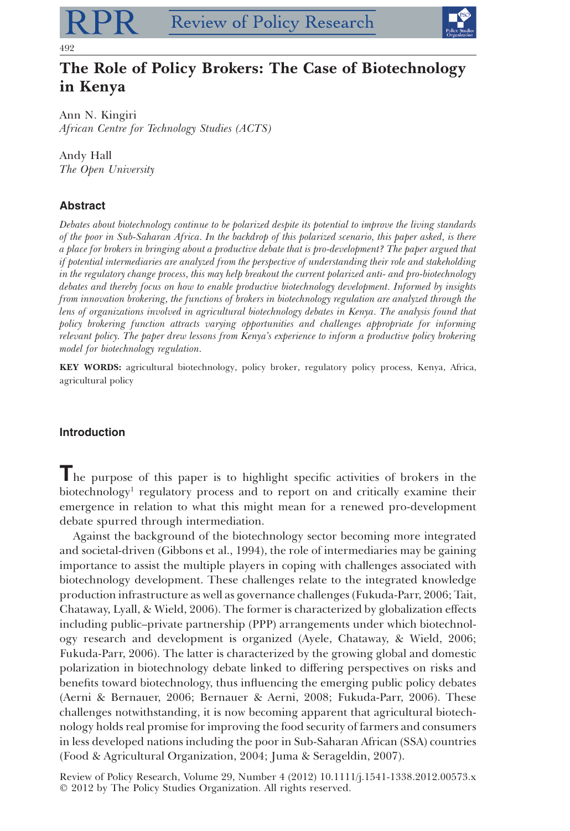

# **The Role of Policy Brokers: The Case of Biotechnology** in Kenya

Ann N. Kingiri *African Centre for Technology Studies (ACTS)*

Andy Hall *The Open University*

# **Abstract**

*Debates about biotechnology continue to be polarized despite its potential to improve the living standards of the poor in Sub-Saharan Africa. In the backdrop of this polarized scenario, this paper asked, is there a place for brokers in bringing about a productive debate that is pro-development? The paper argued that if potential intermediaries are analyzed from the perspective of understanding their role and stakeholding in the regulatory change process, this may help breakout the current polarized anti- and pro-biotechnology debates and thereby focus on how to enable productive biotechnology development. Informed by insights from innovation brokering, the functions of brokers in biotechnology regulation are analyzed through the lens of organizations involved in agricultural biotechnology debates in Kenya. The analysis found that policy brokering function attracts varying opportunities and challenges appropriate for informing relevant policy. The paper drew lessons from Kenya's experience to inform a productive policy brokering model for biotechnology regulation.*

**KEY WORDS:** agricultural biotechnology, policy broker, regulatory policy process, Kenya, Africa, agricultural policy

# **Introduction**

**T**he purpose of this paper is to highlight specific activities of brokers in the biotechnology<sup>1</sup> regulatory process and to report on and critically examine their emergence in relation to what this might mean for a renewed pro-development debate spurred through intermediation.

Against the background of the biotechnology sector becoming more integrated and societal-driven (Gibbons et al., 1994), the role of intermediaries may be gaining importance to assist the multiple players in coping with challenges associated with biotechnology development. These challenges relate to the integrated knowledge production infrastructure as well as governance challenges (Fukuda-Parr, 2006; Tait, Chataway, Lyall, & Wield, 2006). The former is characterized by globalization effects including public–private partnership (PPP) arrangements under which biotechnology research and development is organized (Ayele, Chataway, & Wield, 2006; Fukuda-Parr, 2006). The latter is characterized by the growing global and domestic polarization in biotechnology debate linked to differing perspectives on risks and benefits toward biotechnology, thus influencing the emerging public policy debates (Aerni & Bernauer, 2006; Bernauer & Aerni, 2008; Fukuda-Parr, 2006). These challenges notwithstanding, it is now becoming apparent that agricultural biotechnology holds real promise for improving the food security of farmers and consumers in less developed nations including the poor in Sub-Saharan African (SSA) countries (Food & Agricultural Organization, 2004; Juma & Serageldin, 2007).

Review of Policy Research, Volume 29, Number 4 (2012) 10.1111/j.1541-1338.2012.00573.x © 2012 by The Policy Studies Organization. All rights reserved.

499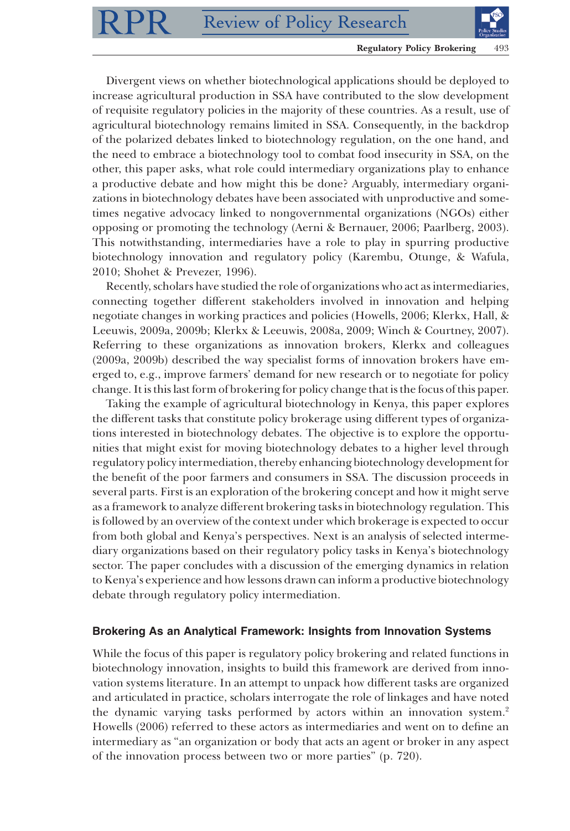

Divergent views on whether biotechnological applications should be deployed to increase agricultural production in SSA have contributed to the slow development of requisite regulatory policies in the majority of these countries. As a result, use of agricultural biotechnology remains limited in SSA. Consequently, in the backdrop of the polarized debates linked to biotechnology regulation, on the one hand, and the need to embrace a biotechnology tool to combat food insecurity in SSA, on the other, this paper asks, what role could intermediary organizations play to enhance a productive debate and how might this be done? Arguably, intermediary organizations in biotechnology debates have been associated with unproductive and sometimes negative advocacy linked to nongovernmental organizations (NGOs) either opposing or promoting the technology (Aerni & Bernauer, 2006; Paarlberg, 2003). This notwithstanding, intermediaries have a role to play in spurring productive biotechnology innovation and regulatory policy (Karembu, Otunge, & Wafula, 2010; Shohet & Prevezer, 1996).

Recently, scholars have studied the role of organizations who act as intermediaries, connecting together different stakeholders involved in innovation and helping negotiate changes in working practices and policies (Howells, 2006; Klerkx, Hall, & Leeuwis, 2009a, 2009b; Klerkx & Leeuwis, 2008a, 2009; Winch & Courtney, 2007). Referring to these organizations as innovation brokers, Klerkx and colleagues (2009a, 2009b) described the way specialist forms of innovation brokers have emerged to, e.g., improve farmers' demand for new research or to negotiate for policy change. It is this last form of brokering for policy change that is the focus of this paper.

Taking the example of agricultural biotechnology in Kenya, this paper explores the different tasks that constitute policy brokerage using different types of organizations interested in biotechnology debates. The objective is to explore the opportunities that might exist for moving biotechnology debates to a higher level through regulatory policy intermediation, thereby enhancing biotechnology development for the benefit of the poor farmers and consumers in SSA. The discussion proceeds in several parts. First is an exploration of the brokering concept and how it might serve as a framework to analyze different brokering tasks in biotechnology regulation. This is followed by an overview of the context under which brokerage is expected to occur from both global and Kenya's perspectives. Next is an analysis of selected intermediary organizations based on their regulatory policy tasks in Kenya's biotechnology sector. The paper concludes with a discussion of the emerging dynamics in relation to Kenya's experience and how lessons drawn can inform a productive biotechnology debate through regulatory policy intermediation.

# **Brokering As an Analytical Framework: Insights from Innovation Systems**

While the focus of this paper is regulatory policy brokering and related functions in biotechnology innovation, insights to build this framework are derived from innovation systems literature. In an attempt to unpack how different tasks are organized and articulated in practice, scholars interrogate the role of linkages and have noted the dynamic varying tasks performed by actors within an innovation system.2 Howells (2006) referred to these actors as intermediaries and went on to define an intermediary as "an organization or body that acts an agent or broker in any aspect of the innovation process between two or more parties" (p. 720).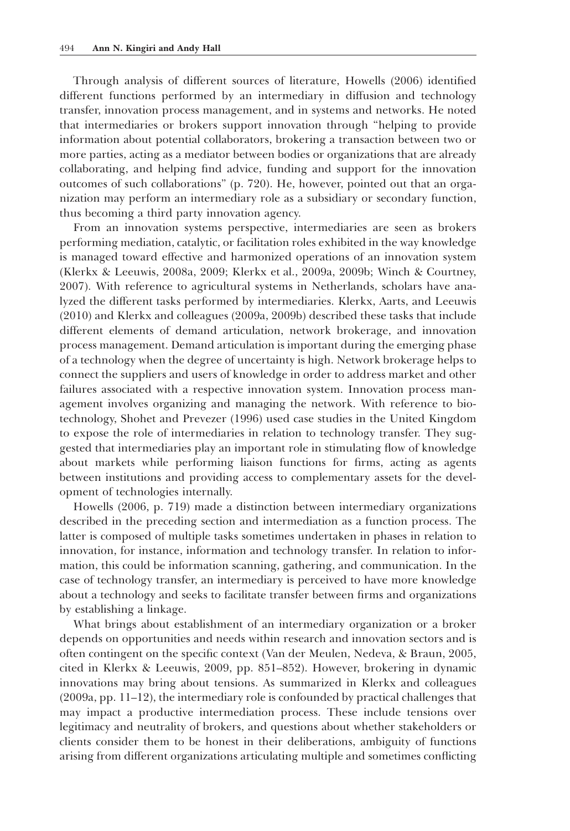Through analysis of different sources of literature, Howells (2006) identified different functions performed by an intermediary in diffusion and technology transfer, innovation process management, and in systems and networks. He noted that intermediaries or brokers support innovation through "helping to provide information about potential collaborators, brokering a transaction between two or more parties, acting as a mediator between bodies or organizations that are already collaborating, and helping find advice, funding and support for the innovation outcomes of such collaborations" (p. 720). He, however, pointed out that an organization may perform an intermediary role as a subsidiary or secondary function, thus becoming a third party innovation agency.

From an innovation systems perspective, intermediaries are seen as brokers performing mediation, catalytic, or facilitation roles exhibited in the way knowledge is managed toward effective and harmonized operations of an innovation system (Klerkx & Leeuwis, 2008a, 2009; Klerkx et al., 2009a, 2009b; Winch & Courtney, 2007). With reference to agricultural systems in Netherlands, scholars have analyzed the different tasks performed by intermediaries. Klerkx, Aarts, and Leeuwis (2010) and Klerkx and colleagues (2009a, 2009b) described these tasks that include different elements of demand articulation, network brokerage, and innovation process management. Demand articulation is important during the emerging phase of a technology when the degree of uncertainty is high. Network brokerage helps to connect the suppliers and users of knowledge in order to address market and other failures associated with a respective innovation system. Innovation process management involves organizing and managing the network. With reference to biotechnology, Shohet and Prevezer (1996) used case studies in the United Kingdom to expose the role of intermediaries in relation to technology transfer. They suggested that intermediaries play an important role in stimulating flow of knowledge about markets while performing liaison functions for firms, acting as agents between institutions and providing access to complementary assets for the development of technologies internally.

Howells (2006, p. 719) made a distinction between intermediary organizations described in the preceding section and intermediation as a function process. The latter is composed of multiple tasks sometimes undertaken in phases in relation to innovation, for instance, information and technology transfer. In relation to information, this could be information scanning, gathering, and communication. In the case of technology transfer, an intermediary is perceived to have more knowledge about a technology and seeks to facilitate transfer between firms and organizations by establishing a linkage.

What brings about establishment of an intermediary organization or a broker depends on opportunities and needs within research and innovation sectors and is often contingent on the specific context (Van der Meulen, Nedeva, & Braun, 2005, cited in Klerkx & Leeuwis, 2009, pp. 851–852). However, brokering in dynamic innovations may bring about tensions. As summarized in Klerkx and colleagues (2009a, pp. 11–12), the intermediary role is confounded by practical challenges that may impact a productive intermediation process. These include tensions over legitimacy and neutrality of brokers, and questions about whether stakeholders or clients consider them to be honest in their deliberations, ambiguity of functions arising from different organizations articulating multiple and sometimes conflicting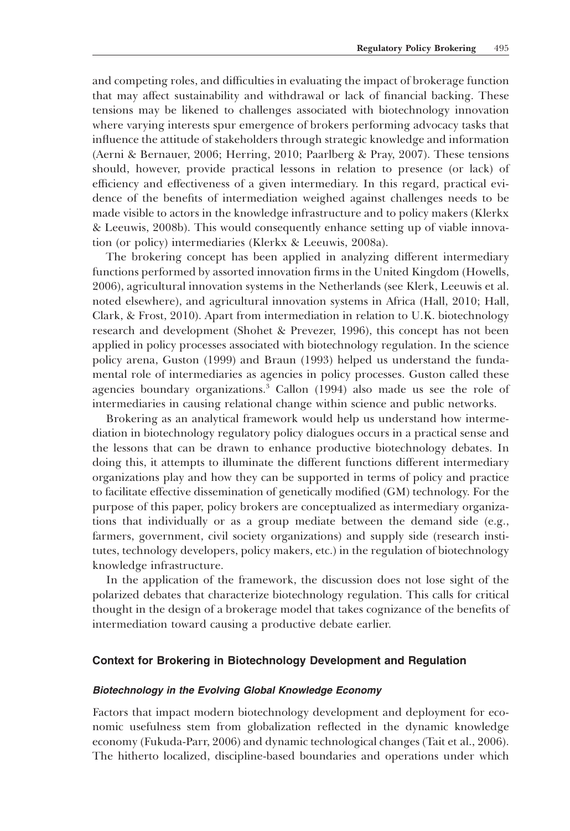and competing roles, and difficulties in evaluating the impact of brokerage function that may affect sustainability and withdrawal or lack of financial backing. These tensions may be likened to challenges associated with biotechnology innovation where varying interests spur emergence of brokers performing advocacy tasks that influence the attitude of stakeholders through strategic knowledge and information (Aerni & Bernauer, 2006; Herring, 2010; Paarlberg & Pray, 2007). These tensions should, however, provide practical lessons in relation to presence (or lack) of efficiency and effectiveness of a given intermediary. In this regard, practical evidence of the benefits of intermediation weighed against challenges needs to be made visible to actors in the knowledge infrastructure and to policy makers (Klerkx & Leeuwis, 2008b). This would consequently enhance setting up of viable innovation (or policy) intermediaries (Klerkx & Leeuwis, 2008a).

The brokering concept has been applied in analyzing different intermediary functions performed by assorted innovation firms in the United Kingdom (Howells, 2006), agricultural innovation systems in the Netherlands (see Klerk, Leeuwis et al. noted elsewhere), and agricultural innovation systems in Africa (Hall, 2010; Hall, Clark, & Frost, 2010). Apart from intermediation in relation to U.K. biotechnology research and development (Shohet & Prevezer, 1996), this concept has not been applied in policy processes associated with biotechnology regulation. In the science policy arena, Guston (1999) and Braun (1993) helped us understand the fundamental role of intermediaries as agencies in policy processes. Guston called these agencies boundary organizations.3 Callon (1994) also made us see the role of intermediaries in causing relational change within science and public networks.

Brokering as an analytical framework would help us understand how intermediation in biotechnology regulatory policy dialogues occurs in a practical sense and the lessons that can be drawn to enhance productive biotechnology debates. In doing this, it attempts to illuminate the different functions different intermediary organizations play and how they can be supported in terms of policy and practice to facilitate effective dissemination of genetically modified (GM) technology. For the purpose of this paper, policy brokers are conceptualized as intermediary organizations that individually or as a group mediate between the demand side (e.g., farmers, government, civil society organizations) and supply side (research institutes, technology developers, policy makers, etc.) in the regulation of biotechnology knowledge infrastructure.

In the application of the framework, the discussion does not lose sight of the polarized debates that characterize biotechnology regulation. This calls for critical thought in the design of a brokerage model that takes cognizance of the benefits of intermediation toward causing a productive debate earlier.

# **Context for Brokering in Biotechnology Development and Regulation**

# *Biotechnology in the Evolving Global Knowledge Economy*

Factors that impact modern biotechnology development and deployment for economic usefulness stem from globalization reflected in the dynamic knowledge economy (Fukuda-Parr, 2006) and dynamic technological changes (Tait et al., 2006). The hitherto localized, discipline-based boundaries and operations under which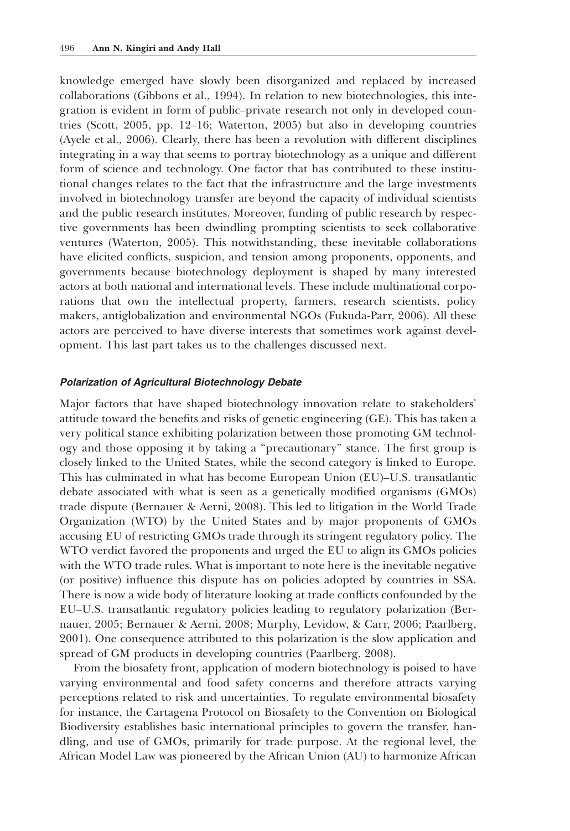knowledge emerged have slowly been disorganized and replaced by increased collaborations (Gibbons et al., 1994). In relation to new biotechnologies, this integration is evident in form of public–private research not only in developed countries (Scott, 2005, pp. 12–16; Waterton, 2005) but also in developing countries (Ayele et al., 2006). Clearly, there has been a revolution with different disciplines integrating in a way that seems to portray biotechnology as a unique and different form of science and technology. One factor that has contributed to these institutional changes relates to the fact that the infrastructure and the large investments involved in biotechnology transfer are beyond the capacity of individual scientists and the public research institutes. Moreover, funding of public research by respective governments has been dwindling prompting scientists to seek collaborative ventures (Waterton, 2005). This notwithstanding, these inevitable collaborations have elicited conflicts, suspicion, and tension among proponents, opponents, and governments because biotechnology deployment is shaped by many interested actors at both national and international levels. These include multinational corporations that own the intellectual property, farmers, research scientists, policy makers, antiglobalization and environmental NGOs (Fukuda-Parr, 2006). All these actors are perceived to have diverse interests that sometimes work against development. This last part takes us to the challenges discussed next.

### *Polarization of Agricultural Biotechnology Debate*

Major factors that have shaped biotechnology innovation relate to stakeholders' attitude toward the benefits and risks of genetic engineering (GE). This has taken a very political stance exhibiting polarization between those promoting GM technology and those opposing it by taking a "precautionary" stance. The first group is closely linked to the United States, while the second category is linked to Europe. This has culminated in what has become European Union (EU)–U.S. transatlantic debate associated with what is seen as a genetically modified organisms (GMOs) trade dispute (Bernauer & Aerni, 2008). This led to litigation in the World Trade Organization (WTO) by the United States and by major proponents of GMOs accusing EU of restricting GMOs trade through its stringent regulatory policy. The WTO verdict favored the proponents and urged the EU to align its GMOs policies with the WTO trade rules. What is important to note here is the inevitable negative (or positive) influence this dispute has on policies adopted by countries in SSA. There is now a wide body of literature looking at trade conflicts confounded by the EU–U.S. transatlantic regulatory policies leading to regulatory polarization (Bernauer, 2005; Bernauer & Aerni, 2008; Murphy, Levidow, & Carr, 2006; Paarlberg, 2001). One consequence attributed to this polarization is the slow application and spread of GM products in developing countries (Paarlberg, 2008).

From the biosafety front, application of modern biotechnology is poised to have varying environmental and food safety concerns and therefore attracts varying perceptions related to risk and uncertainties. To regulate environmental biosafety for instance, the Cartagena Protocol on Biosafety to the Convention on Biological Biodiversity establishes basic international principles to govern the transfer, handling, and use of GMOs, primarily for trade purpose. At the regional level, the African Model Law was pioneered by the African Union (AU) to harmonize African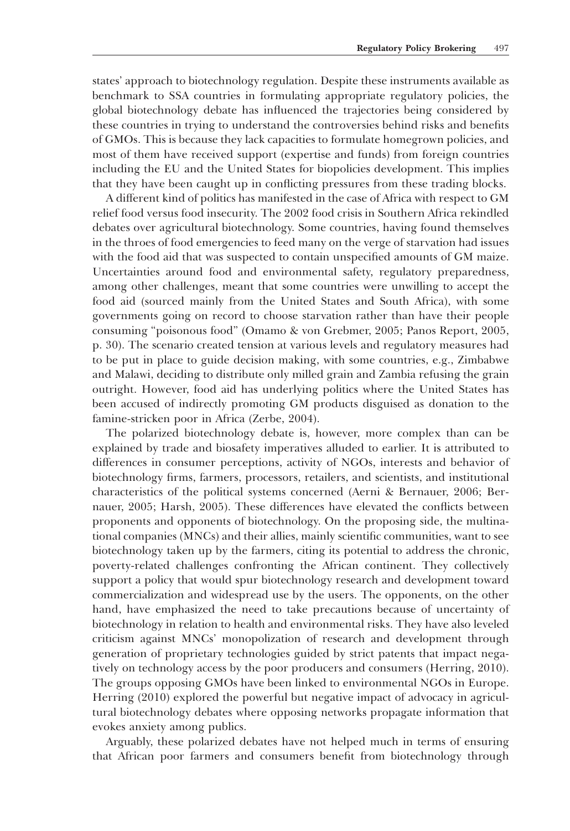states' approach to biotechnology regulation. Despite these instruments available as benchmark to SSA countries in formulating appropriate regulatory policies, the global biotechnology debate has influenced the trajectories being considered by these countries in trying to understand the controversies behind risks and benefits of GMOs. This is because they lack capacities to formulate homegrown policies, and most of them have received support (expertise and funds) from foreign countries including the EU and the United States for biopolicies development. This implies that they have been caught up in conflicting pressures from these trading blocks.

A different kind of politics has manifested in the case of Africa with respect to GM relief food versus food insecurity. The 2002 food crisis in Southern Africa rekindled debates over agricultural biotechnology. Some countries, having found themselves in the throes of food emergencies to feed many on the verge of starvation had issues with the food aid that was suspected to contain unspecified amounts of GM maize. Uncertainties around food and environmental safety, regulatory preparedness, among other challenges, meant that some countries were unwilling to accept the food aid (sourced mainly from the United States and South Africa), with some governments going on record to choose starvation rather than have their people consuming "poisonous food" (Omamo & von Grebmer, 2005; Panos Report, 2005, p. 30). The scenario created tension at various levels and regulatory measures had to be put in place to guide decision making, with some countries, e.g., Zimbabwe and Malawi, deciding to distribute only milled grain and Zambia refusing the grain outright. However, food aid has underlying politics where the United States has been accused of indirectly promoting GM products disguised as donation to the famine-stricken poor in Africa (Zerbe, 2004).

The polarized biotechnology debate is, however, more complex than can be explained by trade and biosafety imperatives alluded to earlier. It is attributed to differences in consumer perceptions, activity of NGOs, interests and behavior of biotechnology firms, farmers, processors, retailers, and scientists, and institutional characteristics of the political systems concerned (Aerni & Bernauer, 2006; Bernauer, 2005; Harsh, 2005). These differences have elevated the conflicts between proponents and opponents of biotechnology. On the proposing side, the multinational companies (MNCs) and their allies, mainly scientific communities, want to see biotechnology taken up by the farmers, citing its potential to address the chronic, poverty-related challenges confronting the African continent. They collectively support a policy that would spur biotechnology research and development toward commercialization and widespread use by the users. The opponents, on the other hand, have emphasized the need to take precautions because of uncertainty of biotechnology in relation to health and environmental risks. They have also leveled criticism against MNCs' monopolization of research and development through generation of proprietary technologies guided by strict patents that impact negatively on technology access by the poor producers and consumers (Herring, 2010). The groups opposing GMOs have been linked to environmental NGOs in Europe. Herring (2010) explored the powerful but negative impact of advocacy in agricultural biotechnology debates where opposing networks propagate information that evokes anxiety among publics.

Arguably, these polarized debates have not helped much in terms of ensuring that African poor farmers and consumers benefit from biotechnology through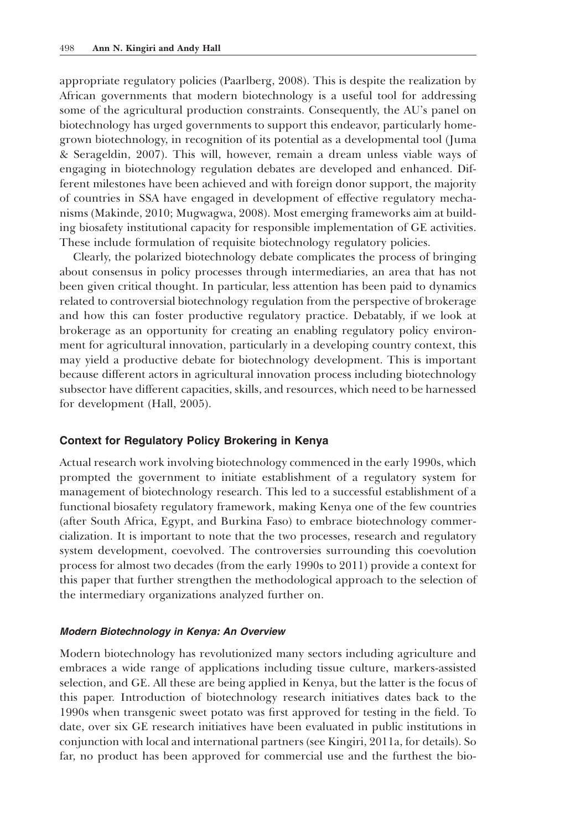appropriate regulatory policies (Paarlberg, 2008). This is despite the realization by African governments that modern biotechnology is a useful tool for addressing some of the agricultural production constraints. Consequently, the AU's panel on biotechnology has urged governments to support this endeavor, particularly homegrown biotechnology, in recognition of its potential as a developmental tool (Juma & Serageldin, 2007). This will, however, remain a dream unless viable ways of engaging in biotechnology regulation debates are developed and enhanced. Different milestones have been achieved and with foreign donor support, the majority of countries in SSA have engaged in development of effective regulatory mechanisms (Makinde, 2010; Mugwagwa, 2008). Most emerging frameworks aim at building biosafety institutional capacity for responsible implementation of GE activities. These include formulation of requisite biotechnology regulatory policies.

Clearly, the polarized biotechnology debate complicates the process of bringing about consensus in policy processes through intermediaries, an area that has not been given critical thought. In particular, less attention has been paid to dynamics related to controversial biotechnology regulation from the perspective of brokerage and how this can foster productive regulatory practice. Debatably, if we look at brokerage as an opportunity for creating an enabling regulatory policy environment for agricultural innovation, particularly in a developing country context, this may yield a productive debate for biotechnology development. This is important because different actors in agricultural innovation process including biotechnology subsector have different capacities, skills, and resources, which need to be harnessed for development (Hall, 2005).

# **Context for Regulatory Policy Brokering in Kenya**

Actual research work involving biotechnology commenced in the early 1990s, which prompted the government to initiate establishment of a regulatory system for management of biotechnology research. This led to a successful establishment of a functional biosafety regulatory framework, making Kenya one of the few countries (after South Africa, Egypt, and Burkina Faso) to embrace biotechnology commercialization. It is important to note that the two processes, research and regulatory system development, coevolved. The controversies surrounding this coevolution process for almost two decades (from the early 1990s to 2011) provide a context for this paper that further strengthen the methodological approach to the selection of the intermediary organizations analyzed further on.

### *Modern Biotechnology in Kenya: An Overview*

Modern biotechnology has revolutionized many sectors including agriculture and embraces a wide range of applications including tissue culture, markers-assisted selection, and GE. All these are being applied in Kenya, but the latter is the focus of this paper. Introduction of biotechnology research initiatives dates back to the 1990s when transgenic sweet potato was first approved for testing in the field. To date, over six GE research initiatives have been evaluated in public institutions in conjunction with local and international partners (see Kingiri, 2011a, for details). So far, no product has been approved for commercial use and the furthest the bio-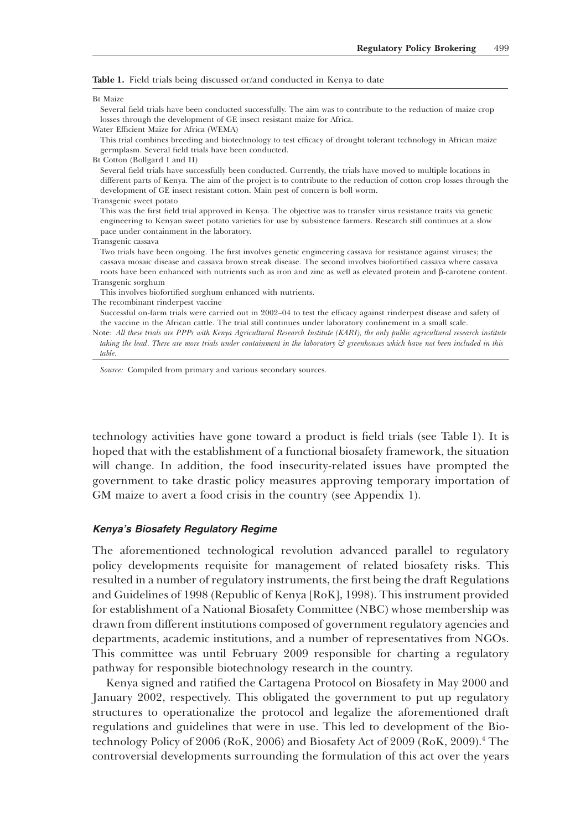#### **Table 1.** Field trials being discussed or/and conducted in Kenya to date

#### Bt Maize

Several field trials have been conducted successfully. The aim was to contribute to the reduction of maize crop losses through the development of GE insect resistant maize for Africa.

Water Efficient Maize for Africa (WEMA)

This trial combines breeding and biotechnology to test efficacy of drought tolerant technology in African maize germplasm. Several field trials have been conducted.

Bt Cotton (Bollgard I and II)

Several field trials have successfully been conducted. Currently, the trials have moved to multiple locations in different parts of Kenya. The aim of the project is to contribute to the reduction of cotton crop losses through the development of GE insect resistant cotton. Main pest of concern is boll worm.

Transgenic sweet potato

This was the first field trial approved in Kenya. The objective was to transfer virus resistance traits via genetic engineering to Kenyan sweet potato varieties for use by subsistence farmers. Research still continues at a slow pace under containment in the laboratory.

Transgenic cassava

Two trials have been ongoing. The first involves genetic engineering cassava for resistance against viruses; the cassava mosaic disease and cassava brown streak disease. The second involves biofortified cassava where cassava roots have been enhanced with nutrients such as iron and zinc as well as elevated protein and  $\beta$ -carotene content. Transgenic sorghum

This involves biofortified sorghum enhanced with nutrients.

The recombinant rinderpest vaccine

Successful on-farm trials were carried out in 2002–04 to test the efficacy against rinderpest disease and safety of the vaccine in the African cattle. The trial still continues under laboratory confinement in a small scale.

Note: *All these trials are PPPs with Kenya Agricultural Research Institute (KARI), the only public agricultural research institute taking the lead. There are more trials under containment in the laboratory & greenhouses which have not been included in this*

*table.*

#### *Source:* Compiled from primary and various secondary sources.

technology activities have gone toward a product is field trials (see Table 1). It is hoped that with the establishment of a functional biosafety framework, the situation will change. In addition, the food insecurity-related issues have prompted the government to take drastic policy measures approving temporary importation of GM maize to avert a food crisis in the country (see Appendix 1).

#### *Kenya's Biosafety Regulatory Regime*

The aforementioned technological revolution advanced parallel to regulatory policy developments requisite for management of related biosafety risks. This resulted in a number of regulatory instruments, the first being the draft Regulations and Guidelines of 1998 (Republic of Kenya [RoK], 1998). This instrument provided for establishment of a National Biosafety Committee (NBC) whose membership was drawn from different institutions composed of government regulatory agencies and departments, academic institutions, and a number of representatives from NGOs. This committee was until February 2009 responsible for charting a regulatory pathway for responsible biotechnology research in the country.

Kenya signed and ratified the Cartagena Protocol on Biosafety in May 2000 and January 2002, respectively. This obligated the government to put up regulatory structures to operationalize the protocol and legalize the aforementioned draft regulations and guidelines that were in use. This led to development of the Biotechnology Policy of 2006 (RoK, 2006) and Biosafety Act of 2009 (RoK, 2009).<sup>4</sup> The controversial developments surrounding the formulation of this act over the years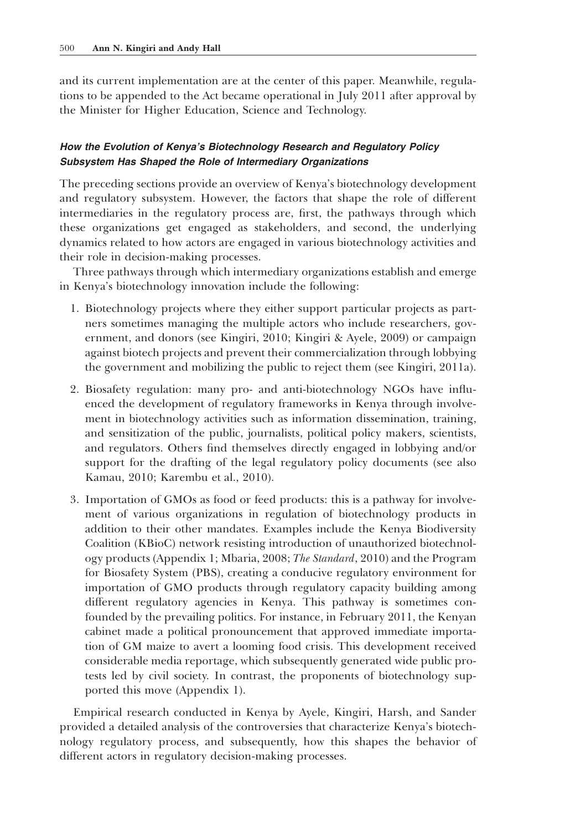and its current implementation are at the center of this paper. Meanwhile, regulations to be appended to the Act became operational in July 2011 after approval by the Minister for Higher Education, Science and Technology.

# *How the Evolution of Kenya's Biotechnology Research and Regulatory Policy Subsystem Has Shaped the Role of Intermediary Organizations*

The preceding sections provide an overview of Kenya's biotechnology development and regulatory subsystem. However, the factors that shape the role of different intermediaries in the regulatory process are, first, the pathways through which these organizations get engaged as stakeholders, and second, the underlying dynamics related to how actors are engaged in various biotechnology activities and their role in decision-making processes.

Three pathways through which intermediary organizations establish and emerge in Kenya's biotechnology innovation include the following:

- 1. Biotechnology projects where they either support particular projects as partners sometimes managing the multiple actors who include researchers, government, and donors (see Kingiri, 2010; Kingiri & Ayele, 2009) or campaign against biotech projects and prevent their commercialization through lobbying the government and mobilizing the public to reject them (see Kingiri, 2011a).
- 2. Biosafety regulation: many pro- and anti-biotechnology NGOs have influenced the development of regulatory frameworks in Kenya through involvement in biotechnology activities such as information dissemination, training, and sensitization of the public, journalists, political policy makers, scientists, and regulators. Others find themselves directly engaged in lobbying and/or support for the drafting of the legal regulatory policy documents (see also Kamau, 2010; Karembu et al., 2010).
- 3. Importation of GMOs as food or feed products: this is a pathway for involvement of various organizations in regulation of biotechnology products in addition to their other mandates. Examples include the Kenya Biodiversity Coalition (KBioC) network resisting introduction of unauthorized biotechnology products (Appendix 1; Mbaria, 2008; *The Standard*, 2010) and the Program for Biosafety System (PBS), creating a conducive regulatory environment for importation of GMO products through regulatory capacity building among different regulatory agencies in Kenya. This pathway is sometimes confounded by the prevailing politics. For instance, in February 2011, the Kenyan cabinet made a political pronouncement that approved immediate importation of GM maize to avert a looming food crisis. This development received considerable media reportage, which subsequently generated wide public protests led by civil society. In contrast, the proponents of biotechnology supported this move (Appendix 1).

Empirical research conducted in Kenya by Ayele, Kingiri, Harsh, and Sander provided a detailed analysis of the controversies that characterize Kenya's biotechnology regulatory process, and subsequently, how this shapes the behavior of different actors in regulatory decision-making processes.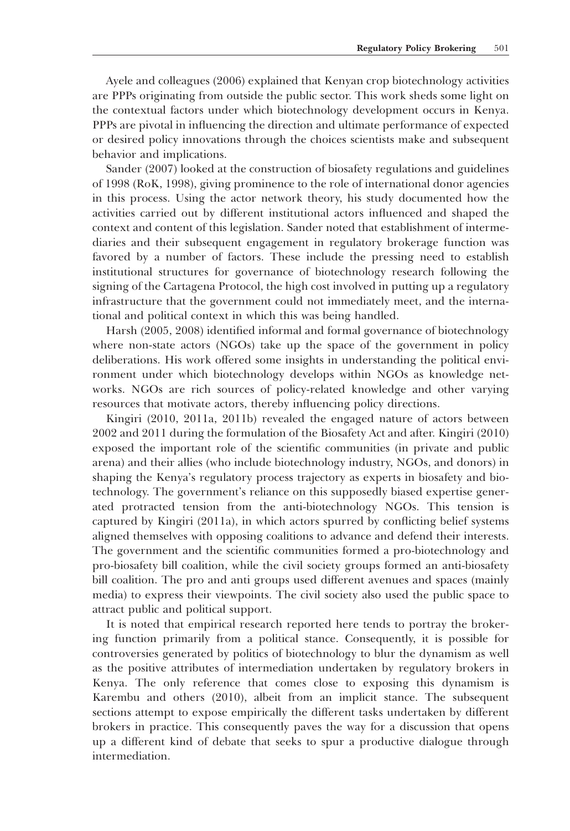Ayele and colleagues (2006) explained that Kenyan crop biotechnology activities are PPPs originating from outside the public sector. This work sheds some light on the contextual factors under which biotechnology development occurs in Kenya. PPPs are pivotal in influencing the direction and ultimate performance of expected or desired policy innovations through the choices scientists make and subsequent behavior and implications.

Sander (2007) looked at the construction of biosafety regulations and guidelines of 1998 (RoK, 1998), giving prominence to the role of international donor agencies in this process. Using the actor network theory, his study documented how the activities carried out by different institutional actors influenced and shaped the context and content of this legislation. Sander noted that establishment of intermediaries and their subsequent engagement in regulatory brokerage function was favored by a number of factors. These include the pressing need to establish institutional structures for governance of biotechnology research following the signing of the Cartagena Protocol, the high cost involved in putting up a regulatory infrastructure that the government could not immediately meet, and the international and political context in which this was being handled.

Harsh (2005, 2008) identified informal and formal governance of biotechnology where non-state actors (NGOs) take up the space of the government in policy deliberations. His work offered some insights in understanding the political environment under which biotechnology develops within NGOs as knowledge networks. NGOs are rich sources of policy-related knowledge and other varying resources that motivate actors, thereby influencing policy directions.

Kingiri (2010, 2011a, 2011b) revealed the engaged nature of actors between 2002 and 2011 during the formulation of the Biosafety Act and after. Kingiri (2010) exposed the important role of the scientific communities (in private and public arena) and their allies (who include biotechnology industry, NGOs, and donors) in shaping the Kenya's regulatory process trajectory as experts in biosafety and biotechnology. The government's reliance on this supposedly biased expertise generated protracted tension from the anti-biotechnology NGOs. This tension is captured by Kingiri (2011a), in which actors spurred by conflicting belief systems aligned themselves with opposing coalitions to advance and defend their interests. The government and the scientific communities formed a pro-biotechnology and pro-biosafety bill coalition, while the civil society groups formed an anti-biosafety bill coalition. The pro and anti groups used different avenues and spaces (mainly media) to express their viewpoints. The civil society also used the public space to attract public and political support.

It is noted that empirical research reported here tends to portray the brokering function primarily from a political stance. Consequently, it is possible for controversies generated by politics of biotechnology to blur the dynamism as well as the positive attributes of intermediation undertaken by regulatory brokers in Kenya. The only reference that comes close to exposing this dynamism is Karembu and others (2010), albeit from an implicit stance. The subsequent sections attempt to expose empirically the different tasks undertaken by different brokers in practice. This consequently paves the way for a discussion that opens up a different kind of debate that seeks to spur a productive dialogue through intermediation.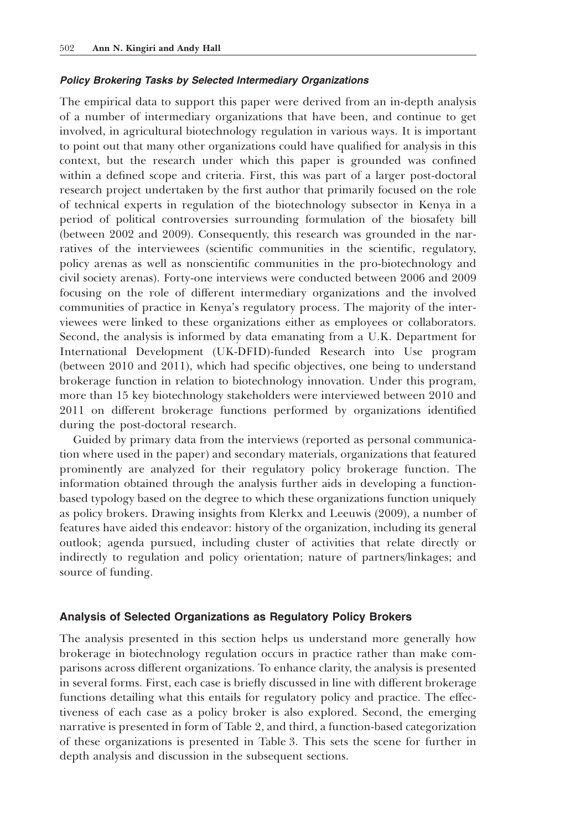# *Policy Brokering Tasks by Selected Intermediary Organizations*

The empirical data to support this paper were derived from an in-depth analysis of a number of intermediary organizations that have been, and continue to get involved, in agricultural biotechnology regulation in various ways. It is important to point out that many other organizations could have qualified for analysis in this context, but the research under which this paper is grounded was confined within a defined scope and criteria. First, this was part of a larger post-doctoral research project undertaken by the first author that primarily focused on the role of technical experts in regulation of the biotechnology subsector in Kenya in a period of political controversies surrounding formulation of the biosafety bill (between 2002 and 2009). Consequently, this research was grounded in the narratives of the interviewees (scientific communities in the scientific, regulatory, policy arenas as well as nonscientific communities in the pro-biotechnology and civil society arenas). Forty-one interviews were conducted between 2006 and 2009 focusing on the role of different intermediary organizations and the involved communities of practice in Kenya's regulatory process. The majority of the interviewees were linked to these organizations either as employees or collaborators. Second, the analysis is informed by data emanating from a U.K. Department for International Development (UK-DFID)-funded Research into Use program (between 2010 and 2011), which had specific objectives, one being to understand brokerage function in relation to biotechnology innovation. Under this program, more than 15 key biotechnology stakeholders were interviewed between 2010 and 2011 on different brokerage functions performed by organizations identified during the post-doctoral research.

Guided by primary data from the interviews (reported as personal communication where used in the paper) and secondary materials, organizations that featured prominently are analyzed for their regulatory policy brokerage function. The information obtained through the analysis further aids in developing a functionbased typology based on the degree to which these organizations function uniquely as policy brokers. Drawing insights from Klerkx and Leeuwis (2009), a number of features have aided this endeavor: history of the organization, including its general outlook; agenda pursued, including cluster of activities that relate directly or indirectly to regulation and policy orientation; nature of partners/linkages; and source of funding.

# **Analysis of Selected Organizations as Regulatory Policy Brokers**

The analysis presented in this section helps us understand more generally how brokerage in biotechnology regulation occurs in practice rather than make comparisons across different organizations. To enhance clarity, the analysis is presented in several forms. First, each case is briefly discussed in line with different brokerage functions detailing what this entails for regulatory policy and practice. The effectiveness of each case as a policy broker is also explored. Second, the emerging narrative is presented in form of Table 2, and third, a function-based categorization of these organizations is presented in Table 3. This sets the scene for further in depth analysis and discussion in the subsequent sections.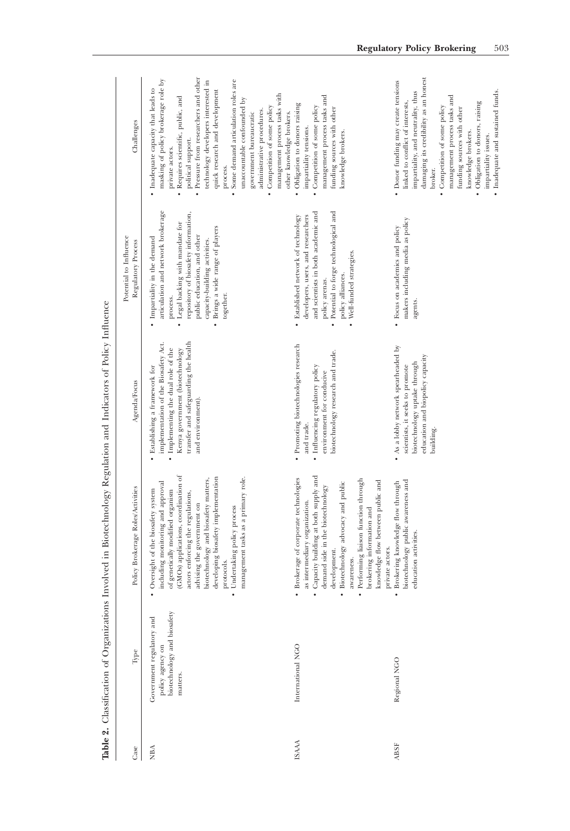| Case         | <b>Type</b>                                                                              | Policy Brokerage Roles/Activities                                                                                                                                                                                                                                                                                                                                                           | Agenda/Focus                                                                                                                                                                                              | Potential to Influence<br>Regulatory Process                                                                                                                                                                                                                            | Challenges                                                                                                                                                                                                                                                                                                                                                                                                                                                                           |
|--------------|------------------------------------------------------------------------------------------|---------------------------------------------------------------------------------------------------------------------------------------------------------------------------------------------------------------------------------------------------------------------------------------------------------------------------------------------------------------------------------------------|-----------------------------------------------------------------------------------------------------------------------------------------------------------------------------------------------------------|-------------------------------------------------------------------------------------------------------------------------------------------------------------------------------------------------------------------------------------------------------------------------|--------------------------------------------------------------------------------------------------------------------------------------------------------------------------------------------------------------------------------------------------------------------------------------------------------------------------------------------------------------------------------------------------------------------------------------------------------------------------------------|
| NВА          | biotechnology and biosafety<br>Government regulatory and<br>policy agency on<br>matters. | (GMOs) applications, coordination of<br>developing biosafety implementation<br>management tasks as a primary role.<br>biotechnology and biosafety matters,<br>including monitoring and approval<br>• Oversight of the biosafety system<br>of genetically modified organism<br>actors enforcing the regulations,<br>advising the government on<br>• Undertaking policy process<br>protocols. | transfer and safeguarding the health<br>implementation of the Biosafety Act.<br>Implementing the dual role of the<br>Kenya government (biotechnology<br>Establishing a framework for<br>and environment). | articulation and network brokerage<br>repository of biosafety information,<br>Legal backing with mandate for<br>Brings a wide range of players<br>public education, and other<br>· Impartiality in the demand<br>capacity-building activities.<br>together.<br>process. | • Pressure from researchers and other<br>masking of policy brokerage role by<br>technology developers interested in<br>Some demand articulation roles are<br>· Inadequate capacity that leads to<br>quick research and development<br>management process tasks with<br>Requires scientific, public, and<br>unaccountable confounded by<br>• Competition of some policy<br>administrative procedures.<br>government bureaucratic<br>political support.<br>private actors.<br>process. |
| <b>ISAAA</b> | International NGO                                                                        | • Capacity building at both supply and<br>· Brokerage of corporate technologies<br>• Performing liaison function through<br>knowledge flow between public and<br>· Biotechnology advocacy and public<br>demand side in the biotechnology<br>as intermediary organization.<br>brokering information and<br>private actors.<br>development.<br>awareness.                                     | • Promoting biotechnologies research<br>biotechnology research and trade.<br>• Influencing regulatory policy<br>environment for conducive<br>and trade.                                                   | and scientists in both academic and<br>Potential to forge technological and<br>developers, users, and researchers<br>· Established network of technology<br>Well-funded strategies.<br>policy alliances.<br>policy arenas.<br>$\bullet$                                 | management process tasks and<br>· Obligation to donors raising<br>Competition of some policy<br>funding sources with other<br>other knowledge brokers.<br>impartiality tensions.<br>knowledge brokers.                                                                                                                                                                                                                                                                               |
| <b>ABSF</b>  | Regional NGO                                                                             | biotechnology public awareness and<br>Brokering knowledge flow through<br>education activities.                                                                                                                                                                                                                                                                                             | As a lobby network spearheaded by<br>education and biopolicy capacity<br>biotechnology uptake through<br>scientists, it seeks to promote<br>building.                                                     | makers including media as policy<br>• Focus on academics and policy<br>agents.                                                                                                                                                                                          | damaging its credibility as an honest<br>• Donor funding may create tensions<br>• Inadequate and sustained funds.<br>impartiality, and neutrality, thus<br>management process tasks and<br>linked to conflict of interests,<br>· Obligation to donors, raising<br>• Competition of some policy<br>funding sources with other<br>knowledge brokers.<br>impartiality issues.<br>broker.                                                                                                |

Table 2. Classification of Organizations Involved in Biotechnology Regulation and Indicators of Policy Influence **Table 2.** Classification of Organizations Involved in Biotechnology Regulation and Indicators of Policy Influence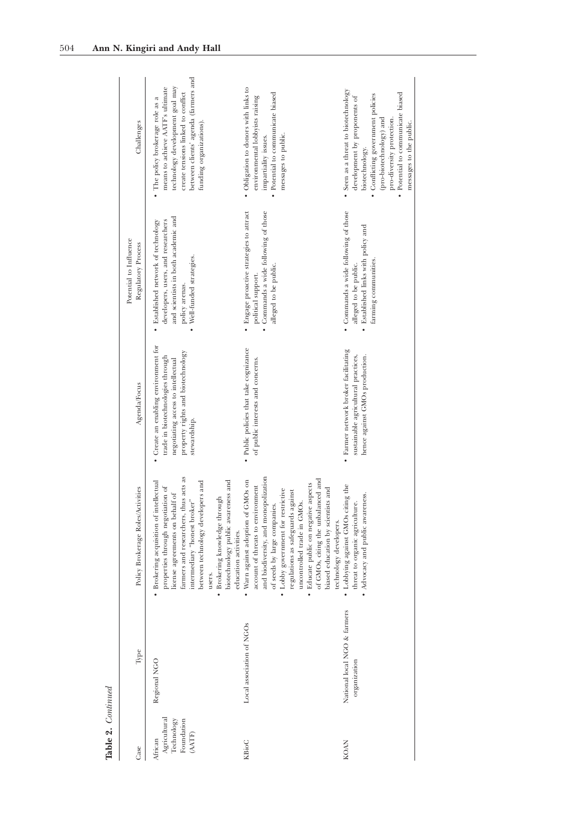| Case                                                          | Type                                         | Policy Brokerage Roles/Activities                                                                                                                                                                                                                                                                                                                                                                      | Agenda/Focus                                                                                                                                                      | Potential to Influence<br>Regulatory Process                                                                                                                    | Challenges                                                                                                                                                                                                                                     |
|---------------------------------------------------------------|----------------------------------------------|--------------------------------------------------------------------------------------------------------------------------------------------------------------------------------------------------------------------------------------------------------------------------------------------------------------------------------------------------------------------------------------------------------|-------------------------------------------------------------------------------------------------------------------------------------------------------------------|-----------------------------------------------------------------------------------------------------------------------------------------------------------------|------------------------------------------------------------------------------------------------------------------------------------------------------------------------------------------------------------------------------------------------|
| Agricultural<br>Technology<br>Foundation<br>(AATF)<br>African | Regional NGO                                 | farmers and researchers, thus acts as<br>biotechnology public awareness and<br>· Brokering acquisition of intellectual<br>between technology developers and<br>properties through negotiation of<br>license agreements on behalf of<br>· Brokering knowledge through<br>intermediary "honest broker"<br>education activities.<br>users.                                                                | Create an enabling environment for<br>property rights and biotechnology<br>trade in biotechnologies through<br>negotiating access to intellectual<br>stewardship. | and scientists in both academic and<br>developers, users, and researchers<br>· Established network of technology<br>· Well-funded strategies.<br>policy arenas. | between clients' agenda (farmers and<br>technology development goal may<br>means to achieve AATF's ultimate<br>create tensions linked to conflict<br>• The policy brokerage role as a<br>funding organizations).                               |
| <b>KBioC</b>                                                  | Local association of NGOs                    | and biodiversity, and monopolization<br>of GMOs, citing the unbalanced and<br>• Warn against adoption of GMOs on<br>· Educate public on negative aspects<br>account of threats to environment<br>biased education by scientists and<br>• Lobby government for restrictive<br>regulations as safeguards against<br>uncontrolled trade in GMOs.<br>of seeds by large companies<br>technology developers. | • Public policies that take cognizance<br>of public interests and concerns.                                                                                       | · Engage proactive strategies to attract<br>• Commands a wide following of those<br>alleged to be public.<br>political support.                                 | • Obligation to donors with links to<br>Potential to communicate biased<br>environmental lobbyists raising<br>messages to public.<br>impartiality issues.                                                                                      |
| KOAN                                                          | National local NGO & farmers<br>organization | • Lobbying against GMOs citing the<br>• Advocacy and public awareness.<br>threat to organic agriculture.                                                                                                                                                                                                                                                                                               | • Farmer network broker facilitating<br>sustainable agricultural practices,<br>hence against GMOs production.                                                     | • Commands a wide following of those<br>• Established links with policy and<br>farming communities.<br>alleged to be public.                                    | Seen as a threat to biotechnology<br>• Potential to communicate biased<br>Conflicting government policies<br>development by proponents of<br>pro-diversity protection.<br>(pro-biotechnology) and<br>messages to the public.<br>biotechnology. |

Table 2. Continued **Table 2.** *Continued*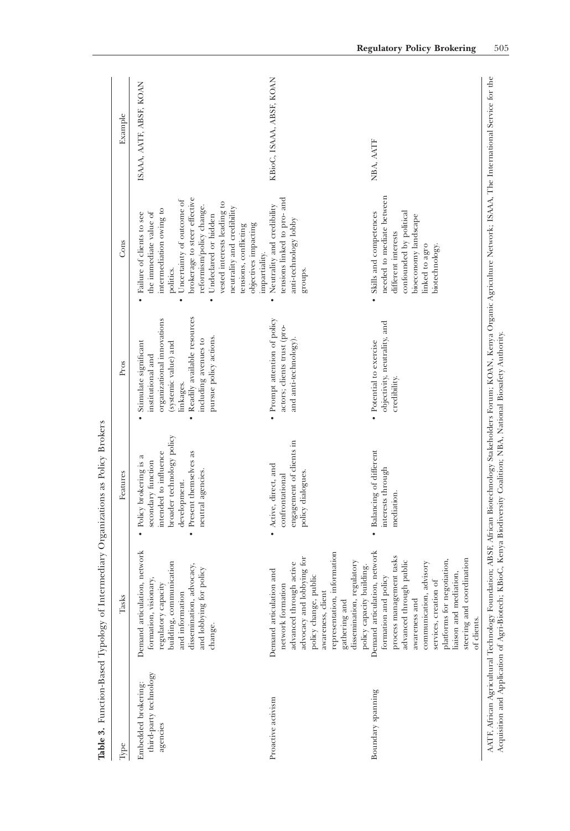| Type                                                      | Tasks                                                                                                                                                                                                                                                                                   | Features                                                                                                                                                                     | Pros                                                                                                                                                                                           | Cons                                                                                                                                                                                                                                                                                                                                        | Example                  |
|-----------------------------------------------------------|-----------------------------------------------------------------------------------------------------------------------------------------------------------------------------------------------------------------------------------------------------------------------------------------|------------------------------------------------------------------------------------------------------------------------------------------------------------------------------|------------------------------------------------------------------------------------------------------------------------------------------------------------------------------------------------|---------------------------------------------------------------------------------------------------------------------------------------------------------------------------------------------------------------------------------------------------------------------------------------------------------------------------------------------|--------------------------|
| third-party technology<br>Embedded brokering:<br>agencies | Demand articulation, network<br>building, communication<br>dissemination, advocacy,<br>and lobbying for policy<br>formation, visionary,<br>regulatory capacity<br>and information<br>change.                                                                                            | broader technology policy<br>intended to influence<br>Present themselves as<br>Policy brokering is a<br>secondary function<br>neutral agencies.<br>development.<br>$\bullet$ | Readily available resources<br>organizational innovations<br>pursue policy actions.<br>including avenues to<br>Stimulate significant<br>(systemic value) and<br>institutional and<br>linkages. | brokerage to steer effective<br>Uncertainty of outcome of<br>vested interests leading to<br>reformism/policy change.<br>neutrality and credibility<br>intermediation owing to<br>the immediate value of<br>Failure of clients to see<br>Undeclared or hidden<br>objectives impacting<br>tensions, conflicting<br>impartiality.<br>politics. | ISAAA, AATE, ABSE, KOAN  |
| Proactive activism                                        | representation, information<br>ying for<br>dissemination, regulatory<br>advanced through active<br>policy capacity building.<br>and<br>policy change, public<br>network formation<br>Demand articulation<br>advocacy and lobby<br>awareness, client<br>gathering and                    | engagement of clients in<br>• Active, direct, and<br>policy dialogues.<br>confrontational                                                                                    | · Prompt attention of policy<br>actors; clients trust (pro-<br>and anti-technology).                                                                                                           | tensions linked to pro- and<br>Neutrality and credibility<br>anti-technology lobby<br>groups.                                                                                                                                                                                                                                               | KBioC, ISAAA, ABSF, KOAN |
| Boundary spanning                                         | Demand articulation, network<br>process management tasks<br>steering and coordination<br>platforms for negotiation,<br>public<br>communication, advisory<br>liaison and mediation,<br>formation and policy<br>services, creation of<br>advanced through<br>awareness and<br>of clients. | · Balancing of different<br>interests through<br>mediation.                                                                                                                  | objectivity, neutrality, and<br>• Potential to exercise<br>credibility.                                                                                                                        | needed to mediate between<br>confounded by political<br>Skills and competences<br>bioeconomy landscape<br>different interests<br>linked to agro<br>biotechnology.                                                                                                                                                                           | NBA, AATF                |

Table 3. Function-Based Typology of Intermediary Organizations as Policy Brokers **Table 3.** Function-Based Typology of Intermediary Organizations as Policy Brokers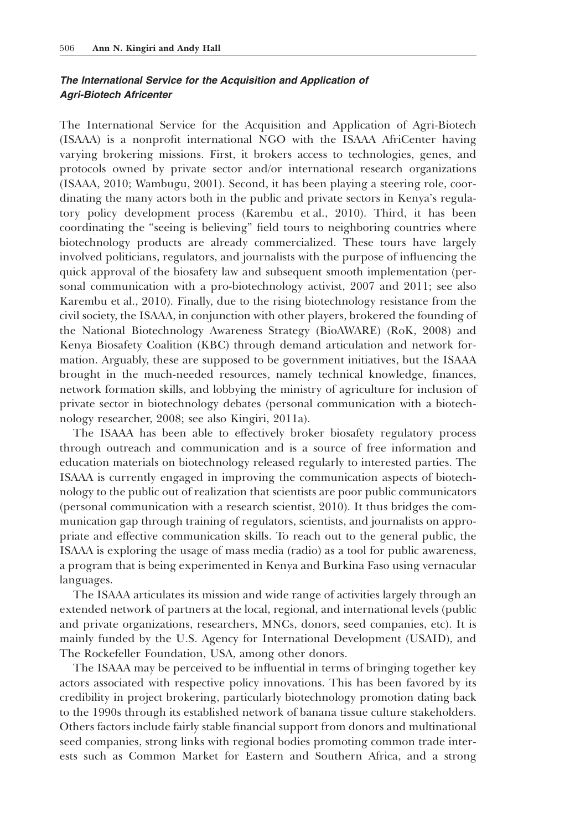# *The International Service for the Acquisition and Application of Agri-Biotech Africenter*

The International Service for the Acquisition and Application of Agri-Biotech (ISAAA) is a nonprofit international NGO with the ISAAA AfriCenter having varying brokering missions. First, it brokers access to technologies, genes, and protocols owned by private sector and/or international research organizations (ISAAA, 2010; Wambugu, 2001). Second, it has been playing a steering role, coordinating the many actors both in the public and private sectors in Kenya's regulatory policy development process (Karembu et al., 2010). Third, it has been coordinating the "seeing is believing" field tours to neighboring countries where biotechnology products are already commercialized. These tours have largely involved politicians, regulators, and journalists with the purpose of influencing the quick approval of the biosafety law and subsequent smooth implementation (personal communication with a pro-biotechnology activist, 2007 and 2011; see also Karembu et al., 2010). Finally, due to the rising biotechnology resistance from the civil society, the ISAAA, in conjunction with other players, brokered the founding of the National Biotechnology Awareness Strategy (BioAWARE) (RoK, 2008) and Kenya Biosafety Coalition (KBC) through demand articulation and network formation. Arguably, these are supposed to be government initiatives, but the ISAAA brought in the much-needed resources, namely technical knowledge, finances, network formation skills, and lobbying the ministry of agriculture for inclusion of private sector in biotechnology debates (personal communication with a biotechnology researcher, 2008; see also Kingiri, 2011a).

The ISAAA has been able to effectively broker biosafety regulatory process through outreach and communication and is a source of free information and education materials on biotechnology released regularly to interested parties. The ISAAA is currently engaged in improving the communication aspects of biotechnology to the public out of realization that scientists are poor public communicators (personal communication with a research scientist, 2010). It thus bridges the communication gap through training of regulators, scientists, and journalists on appropriate and effective communication skills. To reach out to the general public, the ISAAA is exploring the usage of mass media (radio) as a tool for public awareness, a program that is being experimented in Kenya and Burkina Faso using vernacular languages.

The ISAAA articulates its mission and wide range of activities largely through an extended network of partners at the local, regional, and international levels (public and private organizations, researchers, MNCs, donors, seed companies, etc). It is mainly funded by the U.S. Agency for International Development (USAID), and The Rockefeller Foundation, USA, among other donors.

The ISAAA may be perceived to be influential in terms of bringing together key actors associated with respective policy innovations. This has been favored by its credibility in project brokering, particularly biotechnology promotion dating back to the 1990s through its established network of banana tissue culture stakeholders. Others factors include fairly stable financial support from donors and multinational seed companies, strong links with regional bodies promoting common trade interests such as Common Market for Eastern and Southern Africa, and a strong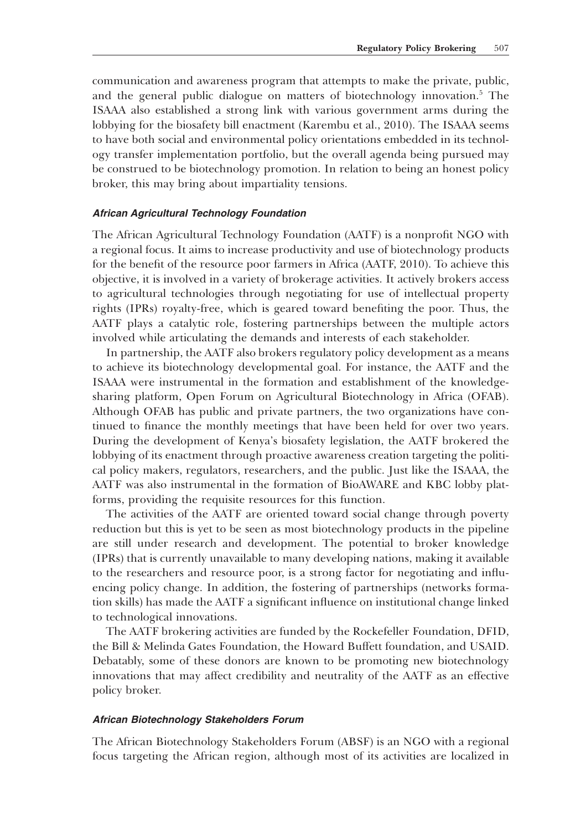communication and awareness program that attempts to make the private, public, and the general public dialogue on matters of biotechnology innovation.<sup>5</sup> The ISAAA also established a strong link with various government arms during the lobbying for the biosafety bill enactment (Karembu et al., 2010). The ISAAA seems to have both social and environmental policy orientations embedded in its technology transfer implementation portfolio, but the overall agenda being pursued may be construed to be biotechnology promotion. In relation to being an honest policy broker, this may bring about impartiality tensions.

#### *African Agricultural Technology Foundation*

The African Agricultural Technology Foundation (AATF) is a nonprofit NGO with a regional focus. It aims to increase productivity and use of biotechnology products for the benefit of the resource poor farmers in Africa (AATF, 2010). To achieve this objective, it is involved in a variety of brokerage activities. It actively brokers access to agricultural technologies through negotiating for use of intellectual property rights (IPRs) royalty-free, which is geared toward benefiting the poor. Thus, the AATF plays a catalytic role, fostering partnerships between the multiple actors involved while articulating the demands and interests of each stakeholder.

In partnership, the AATF also brokers regulatory policy development as a means to achieve its biotechnology developmental goal. For instance, the AATF and the ISAAA were instrumental in the formation and establishment of the knowledgesharing platform, Open Forum on Agricultural Biotechnology in Africa (OFAB). Although OFAB has public and private partners, the two organizations have continued to finance the monthly meetings that have been held for over two years. During the development of Kenya's biosafety legislation, the AATF brokered the lobbying of its enactment through proactive awareness creation targeting the political policy makers, regulators, researchers, and the public. Just like the ISAAA, the AATF was also instrumental in the formation of BioAWARE and KBC lobby platforms, providing the requisite resources for this function.

The activities of the AATF are oriented toward social change through poverty reduction but this is yet to be seen as most biotechnology products in the pipeline are still under research and development. The potential to broker knowledge (IPRs) that is currently unavailable to many developing nations, making it available to the researchers and resource poor, is a strong factor for negotiating and influencing policy change. In addition, the fostering of partnerships (networks formation skills) has made the AATF a significant influence on institutional change linked to technological innovations.

The AATF brokering activities are funded by the Rockefeller Foundation, DFID, the Bill & Melinda Gates Foundation, the Howard Buffett foundation, and USAID. Debatably, some of these donors are known to be promoting new biotechnology innovations that may affect credibility and neutrality of the AATF as an effective policy broker.

#### *African Biotechnology Stakeholders Forum*

The African Biotechnology Stakeholders Forum (ABSF) is an NGO with a regional focus targeting the African region, although most of its activities are localized in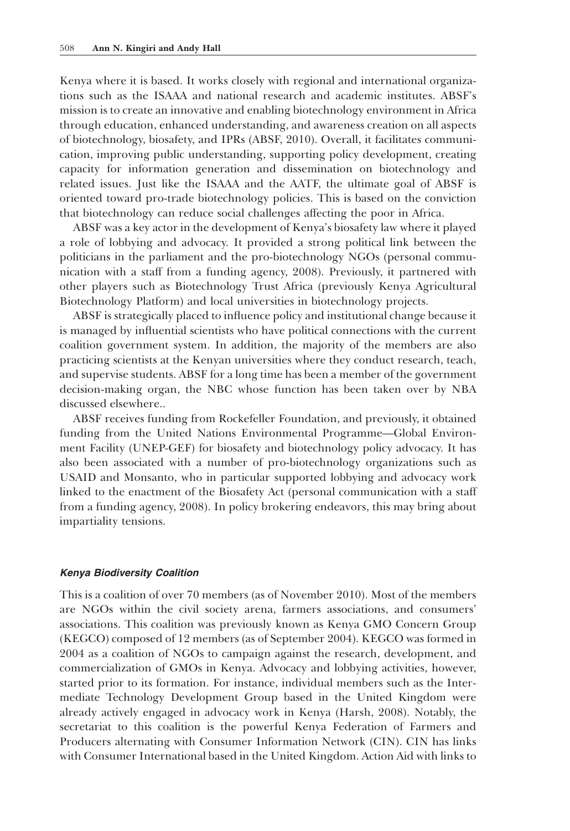Kenya where it is based. It works closely with regional and international organizations such as the ISAAA and national research and academic institutes. ABSF's mission is to create an innovative and enabling biotechnology environment in Africa through education, enhanced understanding, and awareness creation on all aspects of biotechnology, biosafety, and IPRs (ABSF, 2010). Overall, it facilitates communication, improving public understanding, supporting policy development, creating capacity for information generation and dissemination on biotechnology and related issues. Just like the ISAAA and the AATF, the ultimate goal of ABSF is oriented toward pro-trade biotechnology policies. This is based on the conviction that biotechnology can reduce social challenges affecting the poor in Africa.

ABSF was a key actor in the development of Kenya's biosafety law where it played a role of lobbying and advocacy. It provided a strong political link between the politicians in the parliament and the pro-biotechnology NGOs (personal communication with a staff from a funding agency, 2008). Previously, it partnered with other players such as Biotechnology Trust Africa (previously Kenya Agricultural Biotechnology Platform) and local universities in biotechnology projects.

ABSF is strategically placed to influence policy and institutional change because it is managed by influential scientists who have political connections with the current coalition government system. In addition, the majority of the members are also practicing scientists at the Kenyan universities where they conduct research, teach, and supervise students. ABSF for a long time has been a member of the government decision-making organ, the NBC whose function has been taken over by NBA discussed elsewhere..

ABSF receives funding from Rockefeller Foundation, and previously, it obtained funding from the United Nations Environmental Programme—Global Environment Facility (UNEP-GEF) for biosafety and biotechnology policy advocacy. It has also been associated with a number of pro-biotechnology organizations such as USAID and Monsanto, who in particular supported lobbying and advocacy work linked to the enactment of the Biosafety Act (personal communication with a staff from a funding agency, 2008). In policy brokering endeavors, this may bring about impartiality tensions.

#### *Kenya Biodiversity Coalition*

This is a coalition of over 70 members (as of November 2010). Most of the members are NGOs within the civil society arena, farmers associations, and consumers' associations. This coalition was previously known as Kenya GMO Concern Group (KEGCO) composed of 12 members (as of September 2004). KEGCO was formed in 2004 as a coalition of NGOs to campaign against the research, development, and commercialization of GMOs in Kenya. Advocacy and lobbying activities, however, started prior to its formation. For instance, individual members such as the Intermediate Technology Development Group based in the United Kingdom were already actively engaged in advocacy work in Kenya (Harsh, 2008). Notably, the secretariat to this coalition is the powerful Kenya Federation of Farmers and Producers alternating with Consumer Information Network (CIN). CIN has links with Consumer International based in the United Kingdom. Action Aid with links to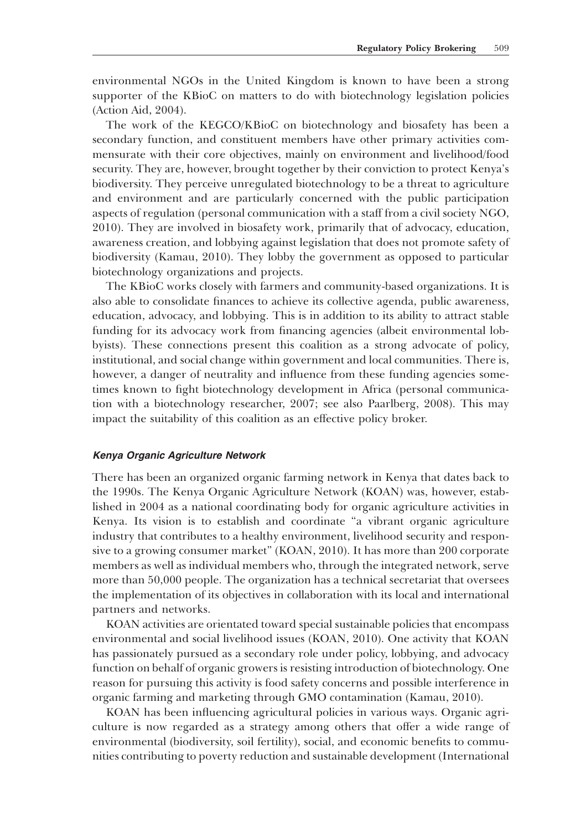environmental NGOs in the United Kingdom is known to have been a strong supporter of the KBioC on matters to do with biotechnology legislation policies (Action Aid, 2004).

The work of the KEGCO/KBioC on biotechnology and biosafety has been a secondary function, and constituent members have other primary activities commensurate with their core objectives, mainly on environment and livelihood/food security. They are, however, brought together by their conviction to protect Kenya's biodiversity. They perceive unregulated biotechnology to be a threat to agriculture and environment and are particularly concerned with the public participation aspects of regulation (personal communication with a staff from a civil society NGO, 2010). They are involved in biosafety work, primarily that of advocacy, education, awareness creation, and lobbying against legislation that does not promote safety of biodiversity (Kamau, 2010). They lobby the government as opposed to particular biotechnology organizations and projects.

The KBioC works closely with farmers and community-based organizations. It is also able to consolidate finances to achieve its collective agenda, public awareness, education, advocacy, and lobbying. This is in addition to its ability to attract stable funding for its advocacy work from financing agencies (albeit environmental lobbyists). These connections present this coalition as a strong advocate of policy, institutional, and social change within government and local communities. There is, however, a danger of neutrality and influence from these funding agencies sometimes known to fight biotechnology development in Africa (personal communication with a biotechnology researcher, 2007; see also Paarlberg, 2008). This may impact the suitability of this coalition as an effective policy broker.

#### *Kenya Organic Agriculture Network*

There has been an organized organic farming network in Kenya that dates back to the 1990s. The Kenya Organic Agriculture Network (KOAN) was, however, established in 2004 as a national coordinating body for organic agriculture activities in Kenya. Its vision is to establish and coordinate "a vibrant organic agriculture industry that contributes to a healthy environment, livelihood security and responsive to a growing consumer market" (KOAN, 2010). It has more than 200 corporate members as well as individual members who, through the integrated network, serve more than 50,000 people. The organization has a technical secretariat that oversees the implementation of its objectives in collaboration with its local and international partners and networks.

KOAN activities are orientated toward special sustainable policies that encompass environmental and social livelihood issues (KOAN, 2010). One activity that KOAN has passionately pursued as a secondary role under policy, lobbying, and advocacy function on behalf of organic growers is resisting introduction of biotechnology. One reason for pursuing this activity is food safety concerns and possible interference in organic farming and marketing through GMO contamination (Kamau, 2010).

KOAN has been influencing agricultural policies in various ways. Organic agriculture is now regarded as a strategy among others that offer a wide range of environmental (biodiversity, soil fertility), social, and economic benefits to communities contributing to poverty reduction and sustainable development (International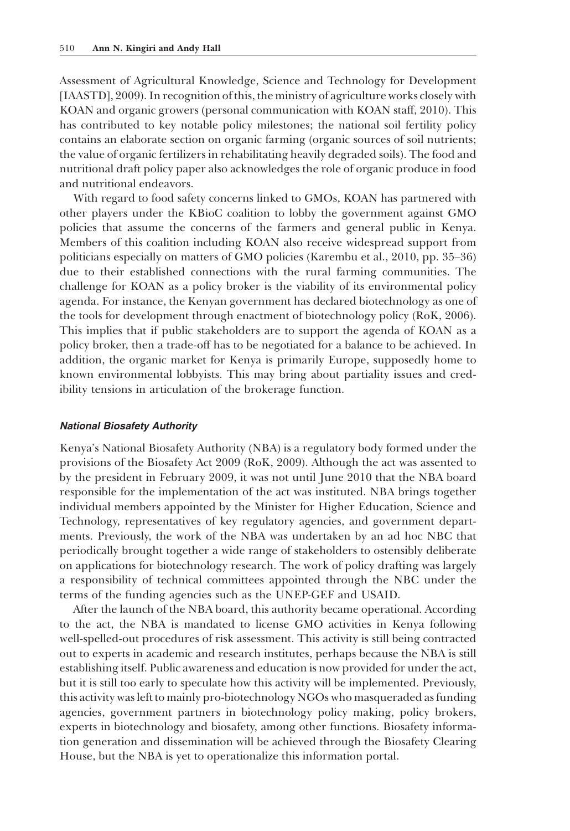Assessment of Agricultural Knowledge, Science and Technology for Development [IAASTD], 2009). In recognition of this, the ministry of agriculture works closely with KOAN and organic growers (personal communication with KOAN staff, 2010). This has contributed to key notable policy milestones; the national soil fertility policy contains an elaborate section on organic farming (organic sources of soil nutrients; the value of organic fertilizers in rehabilitating heavily degraded soils). The food and nutritional draft policy paper also acknowledges the role of organic produce in food and nutritional endeavors.

With regard to food safety concerns linked to GMOs, KOAN has partnered with other players under the KBioC coalition to lobby the government against GMO policies that assume the concerns of the farmers and general public in Kenya. Members of this coalition including KOAN also receive widespread support from politicians especially on matters of GMO policies (Karembu et al., 2010, pp. 35–36) due to their established connections with the rural farming communities. The challenge for KOAN as a policy broker is the viability of its environmental policy agenda. For instance, the Kenyan government has declared biotechnology as one of the tools for development through enactment of biotechnology policy (RoK, 2006). This implies that if public stakeholders are to support the agenda of KOAN as a policy broker, then a trade-off has to be negotiated for a balance to be achieved. In addition, the organic market for Kenya is primarily Europe, supposedly home to known environmental lobbyists. This may bring about partiality issues and credibility tensions in articulation of the brokerage function.

#### *National Biosafety Authority*

Kenya's National Biosafety Authority (NBA) is a regulatory body formed under the provisions of the Biosafety Act 2009 (RoK, 2009). Although the act was assented to by the president in February 2009, it was not until June 2010 that the NBA board responsible for the implementation of the act was instituted. NBA brings together individual members appointed by the Minister for Higher Education, Science and Technology, representatives of key regulatory agencies, and government departments. Previously, the work of the NBA was undertaken by an ad hoc NBC that periodically brought together a wide range of stakeholders to ostensibly deliberate on applications for biotechnology research. The work of policy drafting was largely a responsibility of technical committees appointed through the NBC under the terms of the funding agencies such as the UNEP-GEF and USAID.

After the launch of the NBA board, this authority became operational. According to the act, the NBA is mandated to license GMO activities in Kenya following well-spelled-out procedures of risk assessment. This activity is still being contracted out to experts in academic and research institutes, perhaps because the NBA is still establishing itself. Public awareness and education is now provided for under the act, but it is still too early to speculate how this activity will be implemented. Previously, this activity was left to mainly pro-biotechnology NGOs who masqueraded as funding agencies, government partners in biotechnology policy making, policy brokers, experts in biotechnology and biosafety, among other functions. Biosafety information generation and dissemination will be achieved through the Biosafety Clearing House, but the NBA is yet to operationalize this information portal.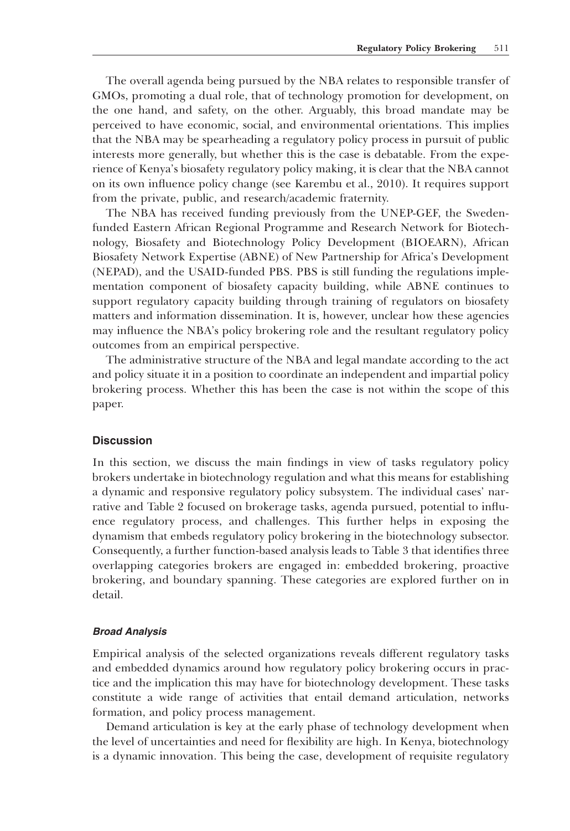The overall agenda being pursued by the NBA relates to responsible transfer of GMOs, promoting a dual role, that of technology promotion for development, on the one hand, and safety, on the other. Arguably, this broad mandate may be perceived to have economic, social, and environmental orientations. This implies that the NBA may be spearheading a regulatory policy process in pursuit of public interests more generally, but whether this is the case is debatable. From the experience of Kenya's biosafety regulatory policy making, it is clear that the NBA cannot on its own influence policy change (see Karembu et al., 2010). It requires support from the private, public, and research/academic fraternity.

The NBA has received funding previously from the UNEP-GEF, the Swedenfunded Eastern African Regional Programme and Research Network for Biotechnology, Biosafety and Biotechnology Policy Development (BIOEARN), African Biosafety Network Expertise (ABNE) of New Partnership for Africa's Development (NEPAD), and the USAID-funded PBS. PBS is still funding the regulations implementation component of biosafety capacity building, while ABNE continues to support regulatory capacity building through training of regulators on biosafety matters and information dissemination. It is, however, unclear how these agencies may influence the NBA's policy brokering role and the resultant regulatory policy outcomes from an empirical perspective.

The administrative structure of the NBA and legal mandate according to the act and policy situate it in a position to coordinate an independent and impartial policy brokering process. Whether this has been the case is not within the scope of this paper.

### **Discussion**

In this section, we discuss the main findings in view of tasks regulatory policy brokers undertake in biotechnology regulation and what this means for establishing a dynamic and responsive regulatory policy subsystem. The individual cases' narrative and Table 2 focused on brokerage tasks, agenda pursued, potential to influence regulatory process, and challenges. This further helps in exposing the dynamism that embeds regulatory policy brokering in the biotechnology subsector. Consequently, a further function-based analysis leads to Table 3 that identifies three overlapping categories brokers are engaged in: embedded brokering, proactive brokering, and boundary spanning. These categories are explored further on in detail.

### *Broad Analysis*

Empirical analysis of the selected organizations reveals different regulatory tasks and embedded dynamics around how regulatory policy brokering occurs in practice and the implication this may have for biotechnology development. These tasks constitute a wide range of activities that entail demand articulation, networks formation, and policy process management.

Demand articulation is key at the early phase of technology development when the level of uncertainties and need for flexibility are high. In Kenya, biotechnology is a dynamic innovation. This being the case, development of requisite regulatory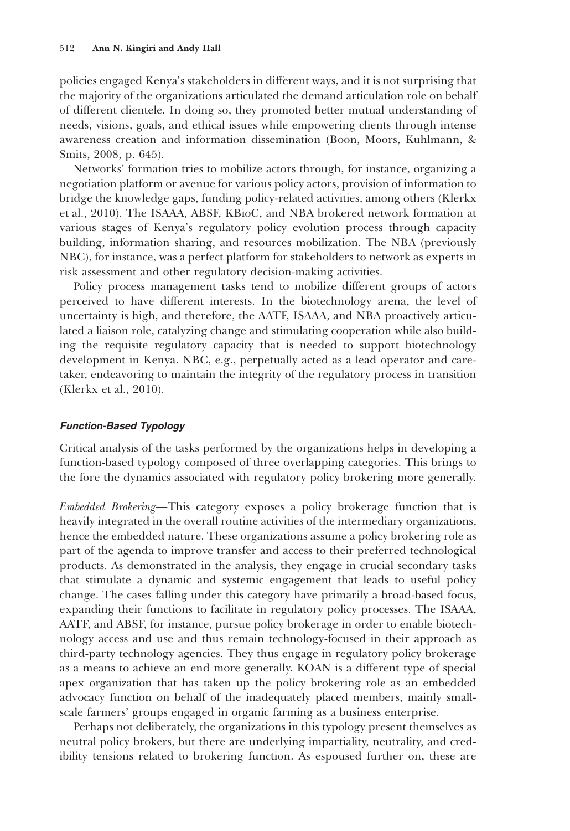policies engaged Kenya's stakeholders in different ways, and it is not surprising that the majority of the organizations articulated the demand articulation role on behalf of different clientele. In doing so, they promoted better mutual understanding of needs, visions, goals, and ethical issues while empowering clients through intense awareness creation and information dissemination (Boon, Moors, Kuhlmann, & Smits, 2008, p. 645).

Networks' formation tries to mobilize actors through, for instance, organizing a negotiation platform or avenue for various policy actors, provision of information to bridge the knowledge gaps, funding policy-related activities, among others (Klerkx et al., 2010). The ISAAA, ABSF, KBioC, and NBA brokered network formation at various stages of Kenya's regulatory policy evolution process through capacity building, information sharing, and resources mobilization. The NBA (previously NBC), for instance, was a perfect platform for stakeholders to network as experts in risk assessment and other regulatory decision-making activities.

Policy process management tasks tend to mobilize different groups of actors perceived to have different interests. In the biotechnology arena, the level of uncertainty is high, and therefore, the AATF, ISAAA, and NBA proactively articulated a liaison role, catalyzing change and stimulating cooperation while also building the requisite regulatory capacity that is needed to support biotechnology development in Kenya. NBC, e.g., perpetually acted as a lead operator and caretaker, endeavoring to maintain the integrity of the regulatory process in transition (Klerkx et al., 2010).

### *Function-Based Typology*

Critical analysis of the tasks performed by the organizations helps in developing a function-based typology composed of three overlapping categories. This brings to the fore the dynamics associated with regulatory policy brokering more generally.

*Embedded Brokering—*This category exposes a policy brokerage function that is heavily integrated in the overall routine activities of the intermediary organizations, hence the embedded nature. These organizations assume a policy brokering role as part of the agenda to improve transfer and access to their preferred technological products. As demonstrated in the analysis, they engage in crucial secondary tasks that stimulate a dynamic and systemic engagement that leads to useful policy change. The cases falling under this category have primarily a broad-based focus, expanding their functions to facilitate in regulatory policy processes. The ISAAA, AATF, and ABSF, for instance, pursue policy brokerage in order to enable biotechnology access and use and thus remain technology-focused in their approach as third-party technology agencies. They thus engage in regulatory policy brokerage as a means to achieve an end more generally. KOAN is a different type of special apex organization that has taken up the policy brokering role as an embedded advocacy function on behalf of the inadequately placed members, mainly smallscale farmers' groups engaged in organic farming as a business enterprise.

Perhaps not deliberately, the organizations in this typology present themselves as neutral policy brokers, but there are underlying impartiality, neutrality, and credibility tensions related to brokering function. As espoused further on, these are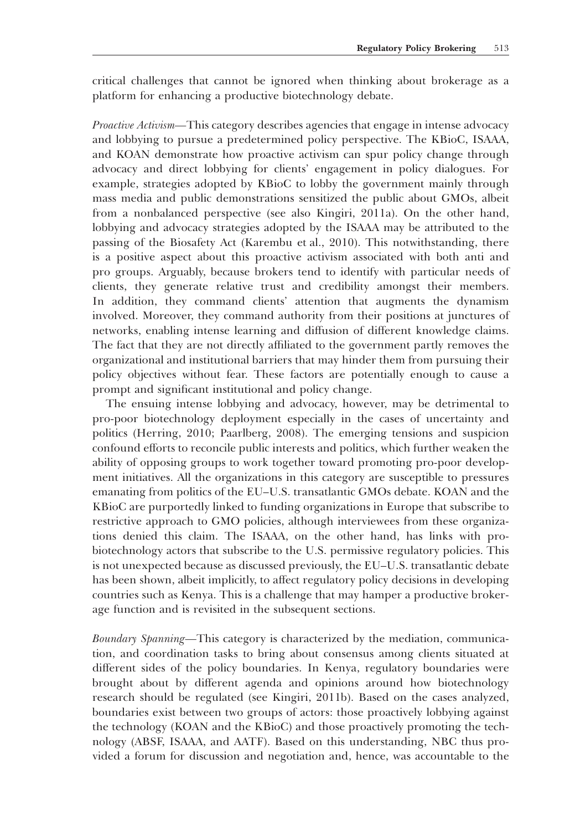critical challenges that cannot be ignored when thinking about brokerage as a platform for enhancing a productive biotechnology debate.

*Proactive Activism—*This category describes agencies that engage in intense advocacy and lobbying to pursue a predetermined policy perspective. The KBioC, ISAAA, and KOAN demonstrate how proactive activism can spur policy change through advocacy and direct lobbying for clients' engagement in policy dialogues. For example, strategies adopted by KBioC to lobby the government mainly through mass media and public demonstrations sensitized the public about GMOs, albeit from a nonbalanced perspective (see also Kingiri, 2011a). On the other hand, lobbying and advocacy strategies adopted by the ISAAA may be attributed to the passing of the Biosafety Act (Karembu et al., 2010). This notwithstanding, there is a positive aspect about this proactive activism associated with both anti and pro groups. Arguably, because brokers tend to identify with particular needs of clients, they generate relative trust and credibility amongst their members. In addition, they command clients' attention that augments the dynamism involved. Moreover, they command authority from their positions at junctures of networks, enabling intense learning and diffusion of different knowledge claims. The fact that they are not directly affiliated to the government partly removes the organizational and institutional barriers that may hinder them from pursuing their policy objectives without fear. These factors are potentially enough to cause a prompt and significant institutional and policy change.

The ensuing intense lobbying and advocacy, however, may be detrimental to pro-poor biotechnology deployment especially in the cases of uncertainty and politics (Herring, 2010; Paarlberg, 2008). The emerging tensions and suspicion confound efforts to reconcile public interests and politics, which further weaken the ability of opposing groups to work together toward promoting pro-poor development initiatives. All the organizations in this category are susceptible to pressures emanating from politics of the EU–U.S. transatlantic GMOs debate. KOAN and the KBioC are purportedly linked to funding organizations in Europe that subscribe to restrictive approach to GMO policies, although interviewees from these organizations denied this claim. The ISAAA, on the other hand, has links with probiotechnology actors that subscribe to the U.S. permissive regulatory policies. This is not unexpected because as discussed previously, the EU–U.S. transatlantic debate has been shown, albeit implicitly, to affect regulatory policy decisions in developing countries such as Kenya. This is a challenge that may hamper a productive brokerage function and is revisited in the subsequent sections.

*Boundary Spanning—*This category is characterized by the mediation, communication, and coordination tasks to bring about consensus among clients situated at different sides of the policy boundaries. In Kenya, regulatory boundaries were brought about by different agenda and opinions around how biotechnology research should be regulated (see Kingiri, 2011b). Based on the cases analyzed, boundaries exist between two groups of actors: those proactively lobbying against the technology (KOAN and the KBioC) and those proactively promoting the technology (ABSF, ISAAA, and AATF). Based on this understanding, NBC thus provided a forum for discussion and negotiation and, hence, was accountable to the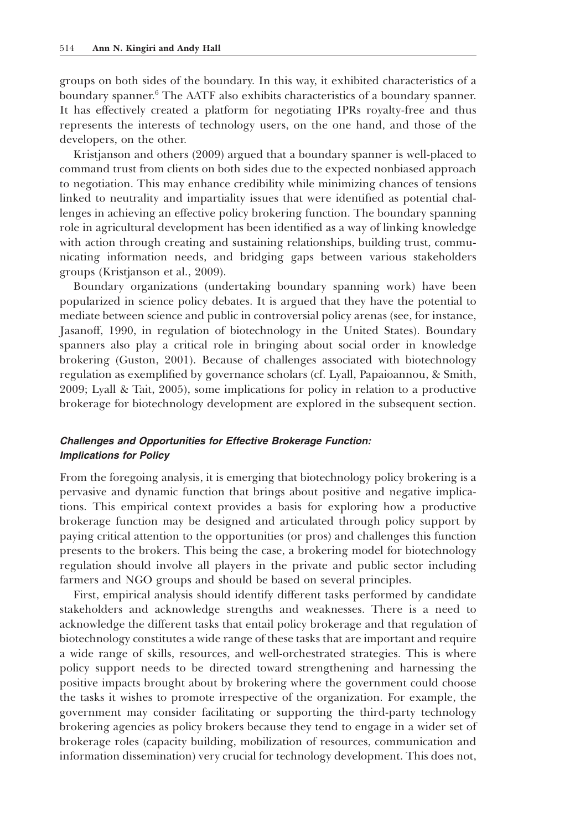groups on both sides of the boundary. In this way, it exhibited characteristics of a boundary spanner.<sup>6</sup> The AATF also exhibits characteristics of a boundary spanner. It has effectively created a platform for negotiating IPRs royalty-free and thus represents the interests of technology users, on the one hand, and those of the developers, on the other.

Kristjanson and others (2009) argued that a boundary spanner is well-placed to command trust from clients on both sides due to the expected nonbiased approach to negotiation. This may enhance credibility while minimizing chances of tensions linked to neutrality and impartiality issues that were identified as potential challenges in achieving an effective policy brokering function. The boundary spanning role in agricultural development has been identified as a way of linking knowledge with action through creating and sustaining relationships, building trust, communicating information needs, and bridging gaps between various stakeholders groups (Kristjanson et al., 2009).

Boundary organizations (undertaking boundary spanning work) have been popularized in science policy debates. It is argued that they have the potential to mediate between science and public in controversial policy arenas (see, for instance, Jasanoff, 1990, in regulation of biotechnology in the United States). Boundary spanners also play a critical role in bringing about social order in knowledge brokering (Guston, 2001). Because of challenges associated with biotechnology regulation as exemplified by governance scholars (cf. Lyall, Papaioannou, & Smith, 2009; Lyall & Tait, 2005), some implications for policy in relation to a productive brokerage for biotechnology development are explored in the subsequent section.

# *Challenges and Opportunities for Effective Brokerage Function: Implications for Policy*

From the foregoing analysis, it is emerging that biotechnology policy brokering is a pervasive and dynamic function that brings about positive and negative implications. This empirical context provides a basis for exploring how a productive brokerage function may be designed and articulated through policy support by paying critical attention to the opportunities (or pros) and challenges this function presents to the brokers. This being the case, a brokering model for biotechnology regulation should involve all players in the private and public sector including farmers and NGO groups and should be based on several principles.

First, empirical analysis should identify different tasks performed by candidate stakeholders and acknowledge strengths and weaknesses. There is a need to acknowledge the different tasks that entail policy brokerage and that regulation of biotechnology constitutes a wide range of these tasks that are important and require a wide range of skills, resources, and well-orchestrated strategies. This is where policy support needs to be directed toward strengthening and harnessing the positive impacts brought about by brokering where the government could choose the tasks it wishes to promote irrespective of the organization. For example, the government may consider facilitating or supporting the third-party technology brokering agencies as policy brokers because they tend to engage in a wider set of brokerage roles (capacity building, mobilization of resources, communication and information dissemination) very crucial for technology development. This does not,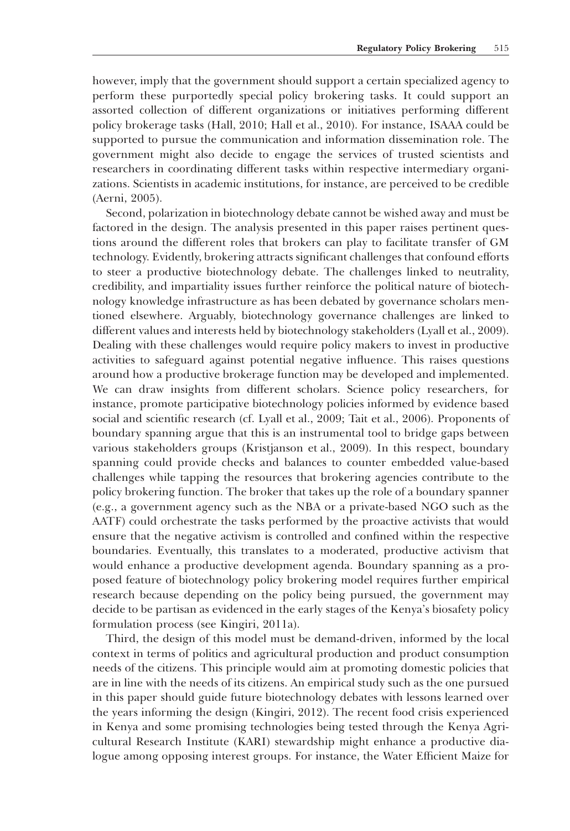however, imply that the government should support a certain specialized agency to perform these purportedly special policy brokering tasks. It could support an assorted collection of different organizations or initiatives performing different policy brokerage tasks (Hall, 2010; Hall et al., 2010). For instance, ISAAA could be supported to pursue the communication and information dissemination role. The government might also decide to engage the services of trusted scientists and researchers in coordinating different tasks within respective intermediary organizations. Scientists in academic institutions, for instance, are perceived to be credible (Aerni, 2005).

Second, polarization in biotechnology debate cannot be wished away and must be factored in the design. The analysis presented in this paper raises pertinent questions around the different roles that brokers can play to facilitate transfer of GM technology. Evidently, brokering attracts significant challenges that confound efforts to steer a productive biotechnology debate. The challenges linked to neutrality, credibility, and impartiality issues further reinforce the political nature of biotechnology knowledge infrastructure as has been debated by governance scholars mentioned elsewhere. Arguably, biotechnology governance challenges are linked to different values and interests held by biotechnology stakeholders (Lyall et al., 2009). Dealing with these challenges would require policy makers to invest in productive activities to safeguard against potential negative influence. This raises questions around how a productive brokerage function may be developed and implemented. We can draw insights from different scholars. Science policy researchers, for instance, promote participative biotechnology policies informed by evidence based social and scientific research (cf. Lyall et al., 2009; Tait et al., 2006). Proponents of boundary spanning argue that this is an instrumental tool to bridge gaps between various stakeholders groups (Kristjanson et al., 2009). In this respect, boundary spanning could provide checks and balances to counter embedded value-based challenges while tapping the resources that brokering agencies contribute to the policy brokering function. The broker that takes up the role of a boundary spanner (e.g., a government agency such as the NBA or a private-based NGO such as the AATF) could orchestrate the tasks performed by the proactive activists that would ensure that the negative activism is controlled and confined within the respective boundaries. Eventually, this translates to a moderated, productive activism that would enhance a productive development agenda. Boundary spanning as a proposed feature of biotechnology policy brokering model requires further empirical research because depending on the policy being pursued, the government may decide to be partisan as evidenced in the early stages of the Kenya's biosafety policy formulation process (see Kingiri, 2011a).

Third, the design of this model must be demand-driven, informed by the local context in terms of politics and agricultural production and product consumption needs of the citizens. This principle would aim at promoting domestic policies that are in line with the needs of its citizens. An empirical study such as the one pursued in this paper should guide future biotechnology debates with lessons learned over the years informing the design (Kingiri, 2012). The recent food crisis experienced in Kenya and some promising technologies being tested through the Kenya Agricultural Research Institute (KARI) stewardship might enhance a productive dialogue among opposing interest groups. For instance, the Water Efficient Maize for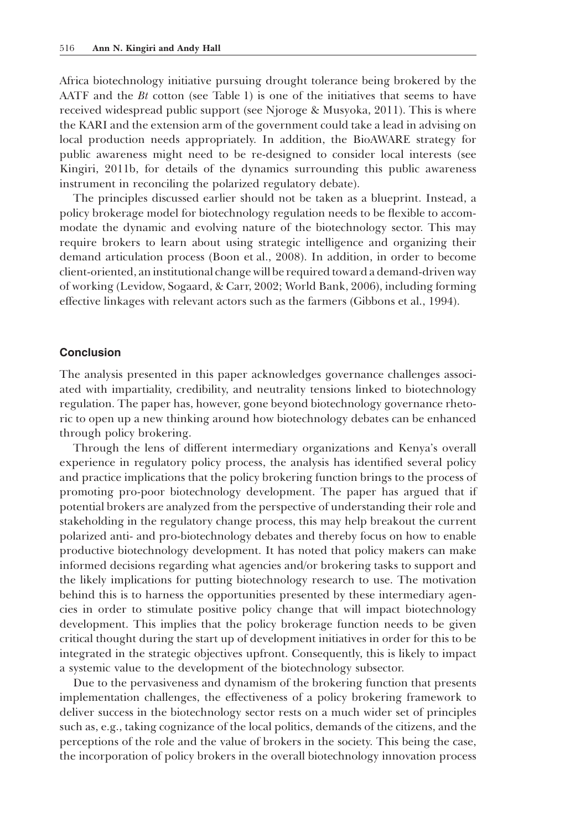Africa biotechnology initiative pursuing drought tolerance being brokered by the AATF and the *Bt* cotton (see Table 1) is one of the initiatives that seems to have received widespread public support (see Njoroge & Musyoka, 2011). This is where the KARI and the extension arm of the government could take a lead in advising on local production needs appropriately. In addition, the BioAWARE strategy for public awareness might need to be re-designed to consider local interests (see Kingiri, 2011b, for details of the dynamics surrounding this public awareness instrument in reconciling the polarized regulatory debate).

The principles discussed earlier should not be taken as a blueprint. Instead, a policy brokerage model for biotechnology regulation needs to be flexible to accommodate the dynamic and evolving nature of the biotechnology sector. This may require brokers to learn about using strategic intelligence and organizing their demand articulation process (Boon et al., 2008). In addition, in order to become client-oriented, an institutional change will be required toward a demand-driven way of working (Levidow, Sogaard, & Carr, 2002; World Bank, 2006), including forming effective linkages with relevant actors such as the farmers (Gibbons et al., 1994).

### **Conclusion**

The analysis presented in this paper acknowledges governance challenges associated with impartiality, credibility, and neutrality tensions linked to biotechnology regulation. The paper has, however, gone beyond biotechnology governance rhetoric to open up a new thinking around how biotechnology debates can be enhanced through policy brokering.

Through the lens of different intermediary organizations and Kenya's overall experience in regulatory policy process, the analysis has identified several policy and practice implications that the policy brokering function brings to the process of promoting pro-poor biotechnology development. The paper has argued that if potential brokers are analyzed from the perspective of understanding their role and stakeholding in the regulatory change process, this may help breakout the current polarized anti- and pro-biotechnology debates and thereby focus on how to enable productive biotechnology development. It has noted that policy makers can make informed decisions regarding what agencies and/or brokering tasks to support and the likely implications for putting biotechnology research to use. The motivation behind this is to harness the opportunities presented by these intermediary agencies in order to stimulate positive policy change that will impact biotechnology development. This implies that the policy brokerage function needs to be given critical thought during the start up of development initiatives in order for this to be integrated in the strategic objectives upfront. Consequently, this is likely to impact a systemic value to the development of the biotechnology subsector.

Due to the pervasiveness and dynamism of the brokering function that presents implementation challenges, the effectiveness of a policy brokering framework to deliver success in the biotechnology sector rests on a much wider set of principles such as, e.g., taking cognizance of the local politics, demands of the citizens, and the perceptions of the role and the value of brokers in the society. This being the case, the incorporation of policy brokers in the overall biotechnology innovation process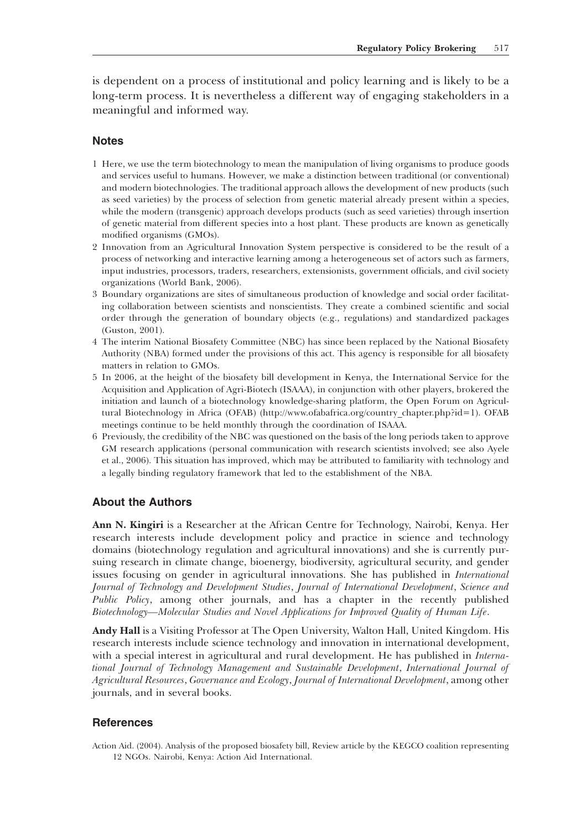is dependent on a process of institutional and policy learning and is likely to be a long-term process. It is nevertheless a different way of engaging stakeholders in a meaningful and informed way.

# **Notes**

- 1 Here, we use the term biotechnology to mean the manipulation of living organisms to produce goods and services useful to humans. However, we make a distinction between traditional (or conventional) and modern biotechnologies. The traditional approach allows the development of new products (such as seed varieties) by the process of selection from genetic material already present within a species, while the modern (transgenic) approach develops products (such as seed varieties) through insertion of genetic material from different species into a host plant. These products are known as genetically modified organisms (GMOs).
- 2 Innovation from an Agricultural Innovation System perspective is considered to be the result of a process of networking and interactive learning among a heterogeneous set of actors such as farmers, input industries, processors, traders, researchers, extensionists, government officials, and civil society organizations (World Bank, 2006).
- 3 Boundary organizations are sites of simultaneous production of knowledge and social order facilitating collaboration between scientists and nonscientists. They create a combined scientific and social order through the generation of boundary objects (e.g., regulations) and standardized packages (Guston, 2001).
- 4 The interim National Biosafety Committee (NBC) has since been replaced by the National Biosafety Authority (NBA) formed under the provisions of this act. This agency is responsible for all biosafety matters in relation to GMOs.
- 5 In 2006, at the height of the biosafety bill development in Kenya, the International Service for the Acquisition and Application of Agri-Biotech (ISAAA), in conjunction with other players, brokered the initiation and launch of a biotechnology knowledge-sharing platform, the Open Forum on Agricultural Biotechnology in Africa (OFAB) (http://www.ofabafrica.org/country\_chapter.php?id=1). OFAB meetings continue to be held monthly through the coordination of ISAAA.
- 6 Previously, the credibility of the NBC was questioned on the basis of the long periods taken to approve GM research applications (personal communication with research scientists involved; see also Ayele et al., 2006). This situation has improved, which may be attributed to familiarity with technology and a legally binding regulatory framework that led to the establishment of the NBA.

# **About the Authors**

**Ann N. Kingiri** is a Researcher at the African Centre for Technology, Nairobi, Kenya. Her research interests include development policy and practice in science and technology domains (biotechnology regulation and agricultural innovations) and she is currently pursuing research in climate change, bioenergy, biodiversity, agricultural security, and gender issues focusing on gender in agricultural innovations. She has published in *International Journal of Technology and Development Studies*, *Journal of International Development*, *Science and Public Policy*, among other journals, and has a chapter in the recently published *Biotechnology—Molecular Studies and Novel Applications for Improved Quality of Human Life*.

**Andy Hall** is a Visiting Professor at The Open University, Walton Hall, United Kingdom. His research interests include science technology and innovation in international development, with a special interest in agricultural and rural development. He has published in *International Journal of Technology Management and Sustainable Development*, *International Journal of Agricultural Resources*, *Governance and Ecology*, *Journal of International Development*, among other journals, and in several books.

### **References**

Action Aid. (2004). Analysis of the proposed biosafety bill, Review article by the KEGCO coalition representing 12 NGOs. Nairobi, Kenya: Action Aid International.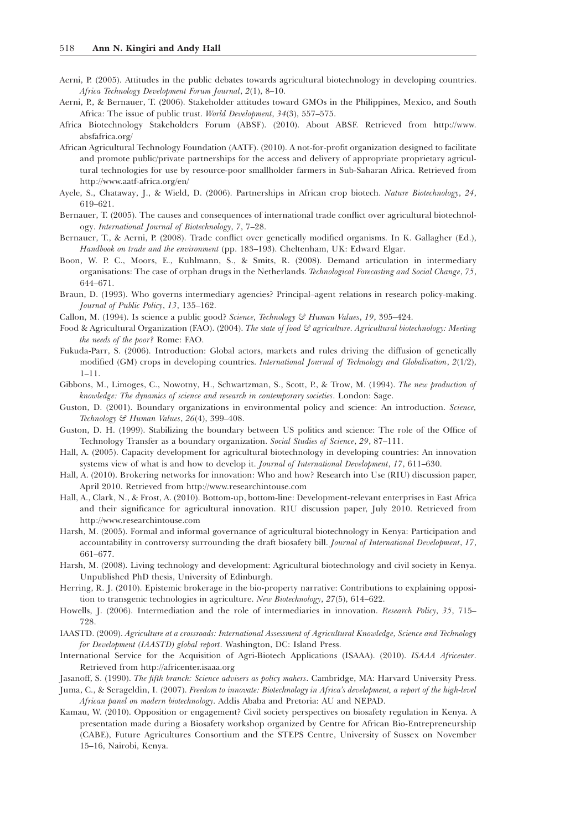- Aerni, P. (2005). Attitudes in the public debates towards agricultural biotechnology in developing countries. *Africa Technology Development Forum Journal*, *2*(1), 8–10.
- Aerni, P., & Bernauer, T. (2006). Stakeholder attitudes toward GMOs in the Philippines, Mexico, and South Africa: The issue of public trust. *World Development*, *34*(3), 557–575.
- Africa Biotechnology Stakeholders Forum (ABSF). (2010). About ABSF. Retrieved from http://www. absfafrica.org/
- African Agricultural Technology Foundation (AATF). (2010). A not-for-profit organization designed to facilitate and promote public/private partnerships for the access and delivery of appropriate proprietary agricultural technologies for use by resource-poor smallholder farmers in Sub-Saharan Africa. Retrieved from http://www.aatf-africa.org/en/
- Ayele, S., Chataway, J., & Wield, D. (2006). Partnerships in African crop biotech. *Nature Biotechnology*, *24*, 619–621.
- Bernauer, T. (2005). The causes and consequences of international trade conflict over agricultural biotechnology. *International Journal of Biotechnology*, *7*, 7–28.
- Bernauer, T., & Aerni, P. (2008). Trade conflict over genetically modified organisms. In K. Gallagher (Ed.), *Handbook on trade and the environment* (pp. 183–193). Cheltenham, UK: Edward Elgar.
- Boon, W. P. C., Moors, E., Kuhlmann, S., & Smits, R. (2008). Demand articulation in intermediary organisations: The case of orphan drugs in the Netherlands. *Technological Forecasting and Social Change*, *75*, 644–671.
- Braun, D. (1993). Who governs intermediary agencies? Principal–agent relations in research policy-making. *Journal of Public Policy*, *13*, 135–162.
- Callon, M. (1994). Is science a public good? *Science, Technology & Human Values*, *19*, 395–424.
- Food & Agricultural Organization (FAO). (2004). *The state of food & agriculture. Agricultural biotechnology: Meeting the needs of the poor?* Rome: FAO.
- Fukuda-Parr, S. (2006). Introduction: Global actors, markets and rules driving the diffusion of genetically modified (GM) crops in developing countries. *International Journal of Technology and Globalisation*, *2*(1/2), 1–11.
- Gibbons, M., Limoges, C., Nowotny, H., Schwartzman, S., Scott, P., & Trow, M. (1994). *The new production of knowledge: The dynamics of science and research in contemporary societies*. London: Sage.
- Guston, D. (2001). Boundary organizations in environmental policy and science: An introduction. *Science, Technology & Human Values*, *26*(4), 399–408.
- Guston, D. H. (1999). Stabilizing the boundary between US politics and science: The role of the Office of Technology Transfer as a boundary organization. *Social Studies of Science*, *29*, 87–111.
- Hall, A. (2005). Capacity development for agricultural biotechnology in developing countries: An innovation systems view of what is and how to develop it. *Journal of International Development*, *17*, 611–630.
- Hall, A. (2010). Brokering networks for innovation: Who and how? Research into Use (RIU) discussion paper, April 2010. Retrieved from http://www.researchintouse.com
- Hall, A., Clark, N., & Frost, A. (2010). Bottom-up, bottom-line: Development-relevant enterprises in East Africa and their significance for agricultural innovation. RIU discussion paper, July 2010. Retrieved from http://www.researchintouse.com
- Harsh, M. (2005). Formal and informal governance of agricultural biotechnology in Kenya: Participation and accountability in controversy surrounding the draft biosafety bill. *Journal of International Development*, *17*, 661–677.
- Harsh, M. (2008). Living technology and development: Agricultural biotechnology and civil society in Kenya. Unpublished PhD thesis, University of Edinburgh.
- Herring, R. J. (2010). Epistemic brokerage in the bio-property narrative: Contributions to explaining opposition to transgenic technologies in agriculture. *New Biotechnology*, *27*(5), 614–622.
- Howells, J. (2006). Intermediation and the role of intermediaries in innovation. *Research Policy*, *35*, 715– 728.
- IAASTD. (2009). *Agriculture at a crossroads: International Assessment of Agricultural Knowledge, Science and Technology for Development (IAASTD) global report*. Washington, DC: Island Press.
- International Service for the Acquisition of Agri-Biotech Applications (ISAAA). (2010). *ISAAA Africenter*. Retrieved from http://africenter.isaaa.org
- Jasanoff, S. (1990). *The fifth branch: Science advisers as policy makers*. Cambridge, MA: Harvard University Press.
- Juma, C., & Serageldin, I. (2007). *Freedom to innovate: Biotechnology in Africa's development, a report of the high-level African panel on modern biotechnology*. Addis Ababa and Pretoria: AU and NEPAD.
- Kamau, W. (2010). Opposition or engagement? Civil society perspectives on biosafety regulation in Kenya. A presentation made during a Biosafety workshop organized by Centre for African Bio-Entrepreneurship (CABE), Future Agricultures Consortium and the STEPS Centre, University of Sussex on November 15–16, Nairobi, Kenya.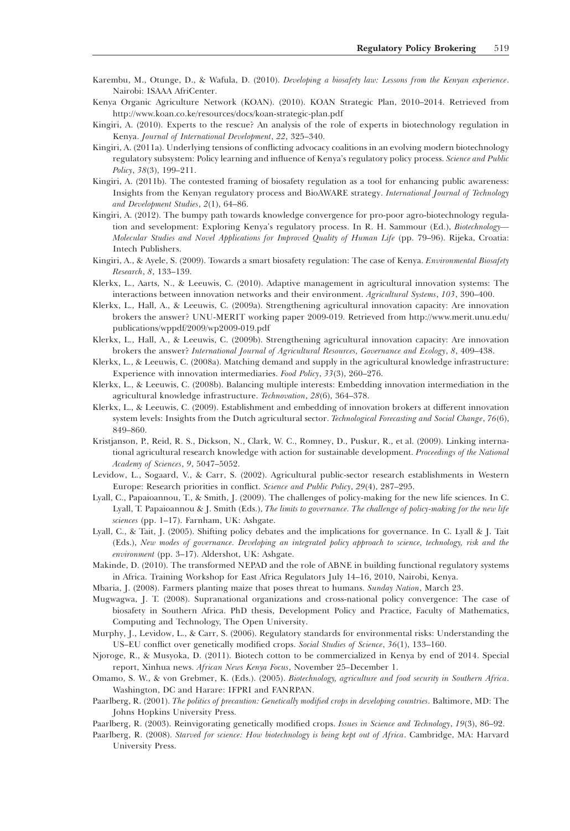- Karembu, M., Otunge, D., & Wafula, D. (2010). *Developing a biosafety law: Lessons from the Kenyan experience*. Nairobi: ISAAA AfriCenter.
- Kenya Organic Agriculture Network (KOAN). (2010). KOAN Strategic Plan, 2010–2014. Retrieved from http://www.koan.co.ke/resources/docs/koan-strategic-plan.pdf
- Kingiri, A. (2010). Experts to the rescue? An analysis of the role of experts in biotechnology regulation in Kenya. *Journal of International Development*, *22*, 325–340.
- Kingiri, A. (2011a). Underlying tensions of conflicting advocacy coalitions in an evolving modern biotechnology regulatory subsystem: Policy learning and influence of Kenya's regulatory policy process. *Science and Public Policy*, *38*(3), 199–211.
- Kingiri, A. (2011b). The contested framing of biosafety regulation as a tool for enhancing public awareness: Insights from the Kenyan regulatory process and BioAWARE strategy. *International Journal of Technology and Development Studies*, *2*(1), 64–86.
- Kingiri, A. (2012). The bumpy path towards knowledge convergence for pro-poor agro-biotechnology regulation and sevelopment: Exploring Kenya's regulatory process. In R. H. Sammour (Ed.), *Biotechnology— Molecular Studies and Novel Applications for Improved Quality of Human Life* (pp. 79–96). Rijeka, Croatia: Intech Publishers.
- Kingiri, A., & Ayele, S. (2009). Towards a smart biosafety regulation: The case of Kenya. *Environmental Biosafety Research*, *8*, 133–139.
- Klerkx, L., Aarts, N., & Leeuwis, C. (2010). Adaptive management in agricultural innovation systems: The interactions between innovation networks and their environment. *Agricultural Systems*, *103*, 390–400.
- Klerkx, L., Hall, A., & Leeuwis, C. (2009a). Strengthening agricultural innovation capacity: Are innovation brokers the answer? UNU-MERIT working paper 2009-019. Retrieved from http://www.merit.unu.edu/ publications/wppdf/2009/wp2009-019.pdf
- Klerkx, L., Hall, A., & Leeuwis, C. (2009b). Strengthening agricultural innovation capacity: Are innovation brokers the answer? *International Journal of Agricultural Resources, Governance and Ecology*, *8*, 409–438.
- Klerkx, L., & Leeuwis, C. (2008a). Matching demand and supply in the agricultural knowledge infrastructure: Experience with innovation intermediaries. *Food Policy*, *33*(3), 260–276.
- Klerkx, L., & Leeuwis, C. (2008b). Balancing multiple interests: Embedding innovation intermediation in the agricultural knowledge infrastructure. *Technovation*, *28*(6), 364–378.
- Klerkx, L., & Leeuwis, C. (2009). Establishment and embedding of innovation brokers at different innovation system levels: Insights from the Dutch agricultural sector. *Technological Forecasting and Social Change*, *76*(6), 849–860.
- Kristjanson, P., Reid, R. S., Dickson, N., Clark, W. C., Romney, D., Puskur, R., et al. (2009). Linking international agricultural research knowledge with action for sustainable development. *Proceedings of the National Academy of Sciences*, *9*, 5047–5052.
- Levidow, L., Sogaard, V., & Carr, S. (2002). Agricultural public-sector research establishments in Western Europe: Research priorities in conflict. *Science and Public Policy*, *29*(4), 287–295.
- Lyall, C., Papaioannou, T., & Smith, J. (2009). The challenges of policy-making for the new life sciences. In C. Lyall, T. Papaioannou & J. Smith (Eds.), *The limits to governance. The challenge of policy-making for the new life sciences* (pp. 1–17). Farnham, UK: Ashgate.
- Lyall, C., & Tait, J. (2005). Shifting policy debates and the implications for governance. In C. Lyall & J. Tait (Eds.), *New modes of governance. Developing an integrated policy approach to science, technology, risk and the environment* (pp. 3–17). Aldershot, UK: Ashgate.
- Makinde, D. (2010). The transformed NEPAD and the role of ABNE in building functional regulatory systems in Africa. Training Workshop for East Africa Regulators July 14–16, 2010, Nairobi, Kenya.
- Mbaria, J. (2008). Farmers planting maize that poses threat to humans. *Sunday Nation*, March 23.
- Mugwagwa, J. T. (2008). Supranational organizations and cross-national policy convergence: The case of biosafety in Southern Africa. PhD thesis, Development Policy and Practice, Faculty of Mathematics, Computing and Technology, The Open University.
- Murphy, J., Levidow, L., & Carr, S. (2006). Regulatory standards for environmental risks: Understanding the US–EU conflict over genetically modified crops. *Social Studies of Science*, *36*(1), 133–160.
- Njoroge, R., & Musyoka, D. (2011). Biotech cotton to be commercialized in Kenya by end of 2014. Special report, Xinhua news. *African News Kenya Focus*, November 25–December 1.
- Omamo, S. W., & von Grebmer, K. (Eds.). (2005). *Biotechnology, agriculture and food security in Southern Africa*. Washington, DC and Harare: IFPRI and FANRPAN.
- Paarlberg, R. (2001). *The politics of precaution: Genetically modified crops in developing countries*. Baltimore, MD: The Johns Hopkins University Press.
- Paarlberg, R. (2003). Reinvigorating genetically modified crops. *Issues in Science and Technology*, *19*(3), 86–92.
- Paarlberg, R. (2008). *Starved for science: How biotechnology is being kept out of Africa*. Cambridge, MA: Harvard University Press.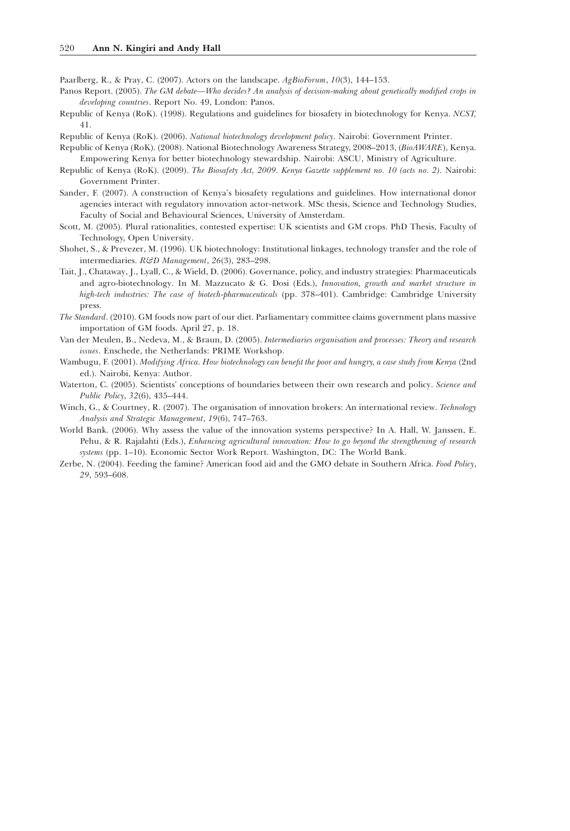Paarlberg, R., & Pray, C. (2007). Actors on the landscape. *AgBioForum*, *10*(3), 144–153.

- Panos Report. (2005). *The GM debate—Who decides? An analysis of decision-making about genetically modified crops in developing countries*. Report No. 49, London: Panos.
- Republic of Kenya (RoK). (1998). Regulations and guidelines for biosafety in biotechnology for Kenya. *NCST,* 41.
- Republic of Kenya (RoK). (2006). *National biotechnology development policy*. Nairobi: Government Printer.
- Republic of Kenya (RoK). (2008). National Biotechnology Awareness Strategy, 2008–2013, (*BioAWARE*), Kenya. Empowering Kenya for better biotechnology stewardship. Nairobi: ASCU, Ministry of Agriculture.
- Republic of Kenya (RoK). (2009). *The Biosafety Act, 2009. Kenya Gazette supplement no. 10 (acts no. 2)*. Nairobi: Government Printer.
- Sander, F. (2007). A construction of Kenya's biosafety regulations and guidelines. How international donor agencies interact with regulatory innovation actor-network. MSc thesis, Science and Technology Studies, Faculty of Social and Behavioural Sciences, University of Amsterdam.
- Scott, M. (2005). Plural rationalities, contested expertise: UK scientists and GM crops. PhD Thesis, Faculty of Technology, Open University.
- Shohet, S., & Prevezer, M. (1996). UK biotechnology: Institutional linkages, technology transfer and the role of intermediaries. *R&D Management*, *26*(3), 283–298.
- Tait, J., Chataway, J., Lyall, C., & Wield, D. (2006). Governance, policy, and industry strategies: Pharmaceuticals and agro-biotechnology. In M. Mazzucato & G. Dosi (Eds.), *Innovation, growth and market structure in high-tech industries: The case of biotech-pharmaceuticals* (pp. 378–401). Cambridge: Cambridge University press.
- *The Standard*. (2010). GM foods now part of our diet. Parliamentary committee claims government plans massive importation of GM foods. April 27, p. 18.
- Van der Meulen, B., Nedeva, M., & Braun, D. (2005). *Intermediaries organisation and processes: Theory and research issues*. Enschede, the Netherlands: PRIME Workshop.
- Wambugu, F. (2001). *Modifying Africa. How biotechnology can benefit the poor and hungry, a case study from Kenya* (2nd ed.). Nairobi, Kenya: Author.
- Waterton, C. (2005). Scientists' conceptions of boundaries between their own research and policy. *Science and Public Policy*, *32*(6), 435–444.
- Winch, G., & Courtney, R. (2007). The organisation of innovation brokers: An international review. *Technology Analysis and Strategic Management*, *19*(6), 747–763.
- World Bank. (2006). Why assess the value of the innovation systems perspective? In A. Hall, W. Janssen, E. Pehu, & R. Rajalahti (Eds.), *Enhancing agricultural innovation: How to go beyond the strengthening of research systems* (pp. 1–10). Economic Sector Work Report. Washington, DC: The World Bank.
- Zerbe, N. (2004). Feeding the famine? American food aid and the GMO debate in Southern Africa. *Food Policy*, *29*, 593–608.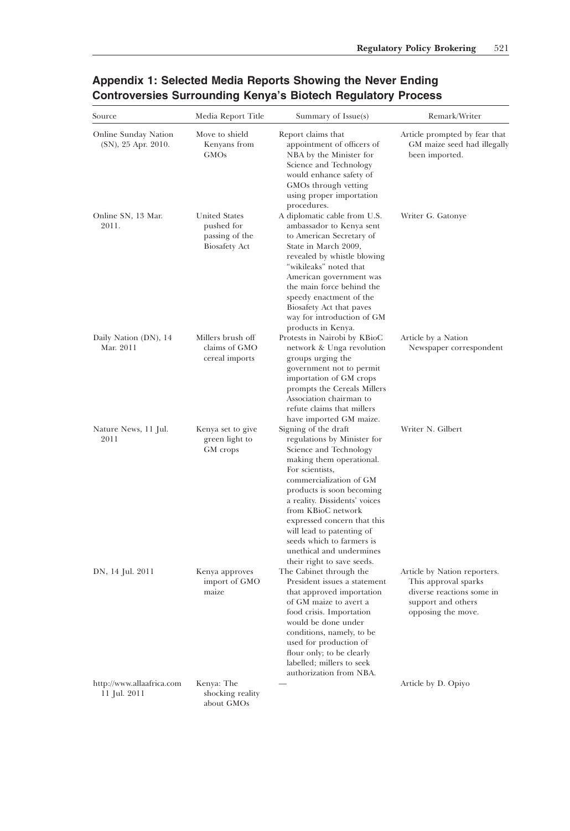| Source                                         | Media Report Title                                                           | Summary of Issue(s)                                                                                                                                                                                                                                                                                                                                                                                                       | Remark/Writer                                                                                                                 |
|------------------------------------------------|------------------------------------------------------------------------------|---------------------------------------------------------------------------------------------------------------------------------------------------------------------------------------------------------------------------------------------------------------------------------------------------------------------------------------------------------------------------------------------------------------------------|-------------------------------------------------------------------------------------------------------------------------------|
| Online Sunday Nation<br>$(SN)$ , 25 Apr. 2010. | Move to shield<br>Kenyans from<br><b>GMOs</b>                                | Report claims that<br>appointment of officers of<br>NBA by the Minister for<br>Science and Technology<br>would enhance safety of<br>GMOs through vetting<br>using proper importation                                                                                                                                                                                                                                      | Article prompted by fear that<br>GM maize seed had illegally<br>been imported.                                                |
| Online SN, 13 Mar.<br>2011.                    | <b>United States</b><br>pushed for<br>passing of the<br><b>Biosafety Act</b> | procedures.<br>A diplomatic cable from U.S.<br>ambassador to Kenya sent<br>to American Secretary of<br>State in March 2009,<br>revealed by whistle blowing<br>"wikileaks" noted that<br>American government was<br>the main force behind the<br>speedy enactment of the<br>Biosafety Act that paves<br>way for introduction of GM                                                                                         | Writer G. Gatonye                                                                                                             |
| Daily Nation (DN), 14<br>Mar. 2011             | Millers brush off<br>claims of GMO<br>cereal imports                         | products in Kenya.<br>Protests in Nairobi by KBioC<br>network & Unga revolution<br>groups urging the<br>government not to permit<br>importation of GM crops<br>prompts the Cereals Millers<br>Association chairman to<br>refute claims that millers                                                                                                                                                                       | Article by a Nation<br>Newspaper correspondent                                                                                |
| Nature News, 11 Jul.<br>2011                   | Kenya set to give<br>green light to<br>GM crops                              | have imported GM maize.<br>Signing of the draft<br>regulations by Minister for<br>Science and Technology<br>making them operational.<br>For scientists,<br>commercialization of GM<br>products is soon becoming<br>a reality. Dissidents' voices<br>from KBioC network<br>expressed concern that this<br>will lead to patenting of<br>seeds which to farmers is<br>unethical and undermines<br>their right to save seeds. | Writer N. Gilbert                                                                                                             |
| DN, 14 Jul. 2011                               | Kenya approves<br>import of GMO<br>maize                                     | The Cabinet through the<br>President issues a statement<br>that approved importation<br>of GM maize to avert a<br>food crisis. Importation<br>would be done under<br>conditions, namely, to be<br>used for production of<br>flour only; to be clearly<br>labelled; millers to seek<br>authorization from NBA.                                                                                                             | Article by Nation reporters.<br>This approval sparks<br>diverse reactions some in<br>support and others<br>opposing the move. |
| http://www.allaafrica.com<br>11 Jul. 2011      | Kenya: The<br>shocking reality<br>about GMOs                                 |                                                                                                                                                                                                                                                                                                                                                                                                                           | Article by D. Opiyo                                                                                                           |

# **Appendix 1: Selected Media Reports Showing the Never Ending Controversies Surrounding Kenya's Biotech Regulatory Process**